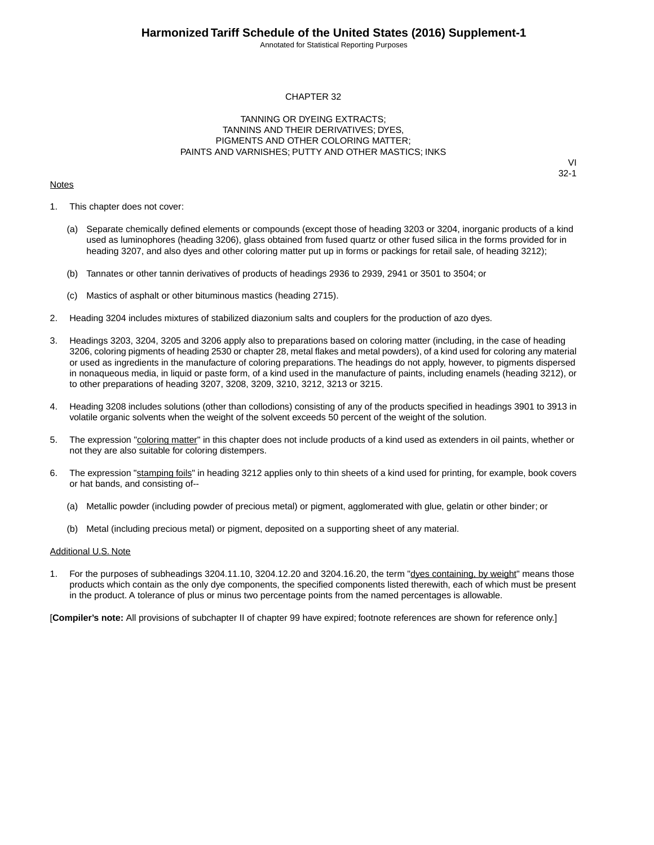Annotated for Statistical Reporting Purposes

#### CHAPTER 32

#### TANNING OR DYEING EXTRACTS; TANNINS AND THEIR DERIVATIVES; DYES, PIGMENTS AND OTHER COLORING MATTER; PAINTS AND VARNISHES; PUTTY AND OTHER MASTICS; INKS

#### **Notes**

VI 32-1

- 1. This chapter does not cover:
	- (a) Separate chemically defined elements or compounds (except those of heading 3203 or 3204, inorganic products of a kind used as luminophores (heading 3206), glass obtained from fused quartz or other fused silica in the forms provided for in heading 3207, and also dyes and other coloring matter put up in forms or packings for retail sale, of heading 3212);
	- (b) Tannates or other tannin derivatives of products of headings 2936 to 2939, 2941 or 3501 to 3504; or
	- (c) Mastics of asphalt or other bituminous mastics (heading 2715).
- 2. Heading 3204 includes mixtures of stabilized diazonium salts and couplers for the production of azo dyes.
- 3. Headings 3203, 3204, 3205 and 3206 apply also to preparations based on coloring matter (including, in the case of heading 3206, coloring pigments of heading 2530 or chapter 28, metal flakes and metal powders), of a kind used for coloring any material or used as ingredients in the manufacture of coloring preparations. The headings do not apply, however, to pigments dispersed in nonaqueous media, in liquid or paste form, of a kind used in the manufacture of paints, including enamels (heading 3212), or to other preparations of heading 3207, 3208, 3209, 3210, 3212, 3213 or 3215.
- 4. Heading 3208 includes solutions (other than collodions) consisting of any of the products specified in headings 3901 to 3913 in volatile organic solvents when the weight of the solvent exceeds 50 percent of the weight of the solution.
- 5. The expression "coloring matter" in this chapter does not include products of a kind used as extenders in oil paints, whether or not they are also suitable for coloring distempers.
- 6. The expression "stamping foils" in heading 3212 applies only to thin sheets of a kind used for printing, for example, book covers or hat bands, and consisting of--
	- (a) Metallic powder (including powder of precious metal) or pigment, agglomerated with glue, gelatin or other binder; or
	- (b) Metal (including precious metal) or pigment, deposited on a supporting sheet of any material.

#### Additional U.S. Note

For the purposes of subheadings 3204.11.10, 3204.12.20 and 3204.16.20, the term "dyes containing, by weight" means those products which contain as the only dye components, the specified components listed therewith, each of which must be present in the product. A tolerance of plus or minus two percentage points from the named percentages is allowable.

[**Compiler's note:** All provisions of subchapter II of chapter 99 have expired; footnote references are shown for reference only.]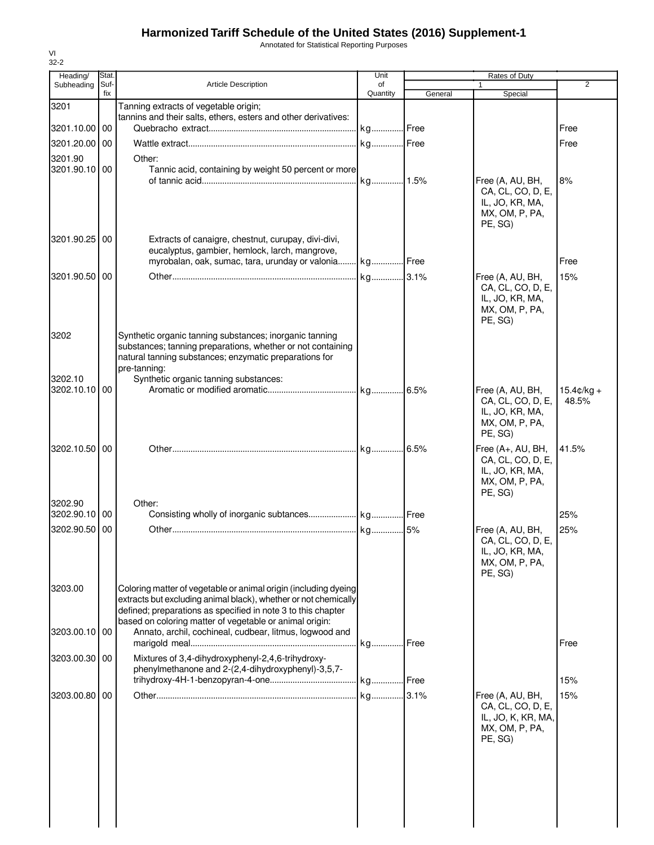Annotated for Statistical Reporting Purposes

| Heading/                 | Stat.       |                                                                                                                    | Unit           |         | Rates of Duty                         |                      |
|--------------------------|-------------|--------------------------------------------------------------------------------------------------------------------|----------------|---------|---------------------------------------|----------------------|
| Subheading               | Suf-<br>fix | <b>Article Description</b>                                                                                         | of<br>Quantity | General | Special                               | 2                    |
| 3201                     |             | Tanning extracts of vegetable origin;                                                                              |                |         |                                       |                      |
|                          |             | tannins and their salts, ethers, esters and other derivatives:                                                     |                |         |                                       |                      |
| 3201.10.00 00            |             |                                                                                                                    | kg Free        |         |                                       | Free                 |
| 3201.20.00 00            |             |                                                                                                                    |                |         |                                       | Free                 |
| 3201.90                  |             | Other:                                                                                                             |                |         |                                       |                      |
| 3201.90.10 00            |             | Tannic acid, containing by weight 50 percent or more                                                               |                |         | Free (A, AU, BH,                      | 8%                   |
|                          |             |                                                                                                                    |                |         | CA, CL, CO, D, E,                     |                      |
|                          |             |                                                                                                                    |                |         | IL, JO, KR, MA,                       |                      |
|                          |             |                                                                                                                    |                |         | MX, OM, P, PA,<br>PE, SG)             |                      |
| 3201.90.25 00            |             | Extracts of canaigre, chestnut, curupay, divi-divi,                                                                |                |         |                                       |                      |
|                          |             | eucalyptus, gambier, hemlock, larch, mangrove,                                                                     |                |         |                                       |                      |
|                          |             | myrobalan, oak, sumac, tara, urunday or valonia kg Free                                                            |                |         |                                       | Free                 |
| 3201.90.50 00            |             |                                                                                                                    |                |         | Free (A, AU, BH,                      | 15%                  |
|                          |             |                                                                                                                    |                |         | CA, CL, CO, D, E,                     |                      |
|                          |             |                                                                                                                    |                |         | IL, JO, KR, MA,<br>MX, OM, P, PA,     |                      |
|                          |             |                                                                                                                    |                |         | PE, SG)                               |                      |
| 3202                     |             | Synthetic organic tanning substances; inorganic tanning                                                            |                |         |                                       |                      |
|                          |             | substances; tanning preparations, whether or not containing                                                        |                |         |                                       |                      |
|                          |             | natural tanning substances; enzymatic preparations for<br>pre-tanning:                                             |                |         |                                       |                      |
| 3202.10                  |             | Synthetic organic tanning substances:                                                                              |                |         |                                       |                      |
| 3202.10.10 00            |             |                                                                                                                    |                |         | Free (A, AU, BH,                      | $15.4 \text{c/kg} +$ |
|                          |             |                                                                                                                    |                |         | CA, CL, CO, D, E,<br>IL, JO, KR, MA,  | 48.5%                |
|                          |             |                                                                                                                    |                |         | MX, OM, P, PA,                        |                      |
|                          |             |                                                                                                                    |                |         | PE, SG)                               |                      |
| 3202.10.50 00            |             |                                                                                                                    |                |         | Free (A+, AU, BH,                     | 41.5%                |
|                          |             |                                                                                                                    |                |         | CA, CL, CO, D, E,<br>IL, JO, KR, MA,  |                      |
|                          |             |                                                                                                                    |                |         | MX, OM, P, PA,                        |                      |
|                          |             |                                                                                                                    |                |         | PE, SG)                               |                      |
| 3202.90<br>3202.90.10 00 |             | Other:                                                                                                             |                |         |                                       | 25%                  |
| 3202.90.50 00            |             |                                                                                                                    |                |         | Free (A, AU, BH,                      | 25%                  |
|                          |             |                                                                                                                    |                |         | CA, CL, CO, D, E,                     |                      |
|                          |             |                                                                                                                    |                |         | IL, JO, KR, MA,                       |                      |
|                          |             |                                                                                                                    |                |         | MX, OM, P, PA,<br>PE, SG)             |                      |
| 3203.00                  |             | Coloring matter of vegetable or animal origin (including dyeing                                                    |                |         |                                       |                      |
|                          |             | extracts but excluding animal black), whether or not chemically                                                    |                |         |                                       |                      |
|                          |             | defined; preparations as specified in note 3 to this chapter                                                       |                |         |                                       |                      |
| 3203.00.10 00            |             | based on coloring matter of vegetable or animal origin:<br>Annato, archil, cochineal, cudbear, litmus, logwood and |                |         |                                       |                      |
|                          |             |                                                                                                                    |                |         |                                       | Free                 |
| 3203.00.30 00            |             | Mixtures of 3,4-dihydroxyphenyl-2,4,6-trihydroxy-                                                                  |                |         |                                       |                      |
|                          |             | phenylmethanone and 2-(2,4-dihydroxyphenyl)-3,5,7-                                                                 |                |         |                                       |                      |
|                          |             |                                                                                                                    |                |         |                                       | 15%                  |
| 3203.00.80 00            |             |                                                                                                                    |                |         | Free (A, AU, BH,<br>CA, CL, CO, D, E, | 15%                  |
|                          |             |                                                                                                                    |                |         | IL, JO, K, KR, MA,                    |                      |
|                          |             |                                                                                                                    |                |         | MX, OM, P, PA,                        |                      |
|                          |             |                                                                                                                    |                |         | PE, SG)                               |                      |
|                          |             |                                                                                                                    |                |         |                                       |                      |
|                          |             |                                                                                                                    |                |         |                                       |                      |
|                          |             |                                                                                                                    |                |         |                                       |                      |
|                          |             |                                                                                                                    |                |         |                                       |                      |
|                          |             |                                                                                                                    |                |         |                                       |                      |
|                          |             |                                                                                                                    |                |         |                                       |                      |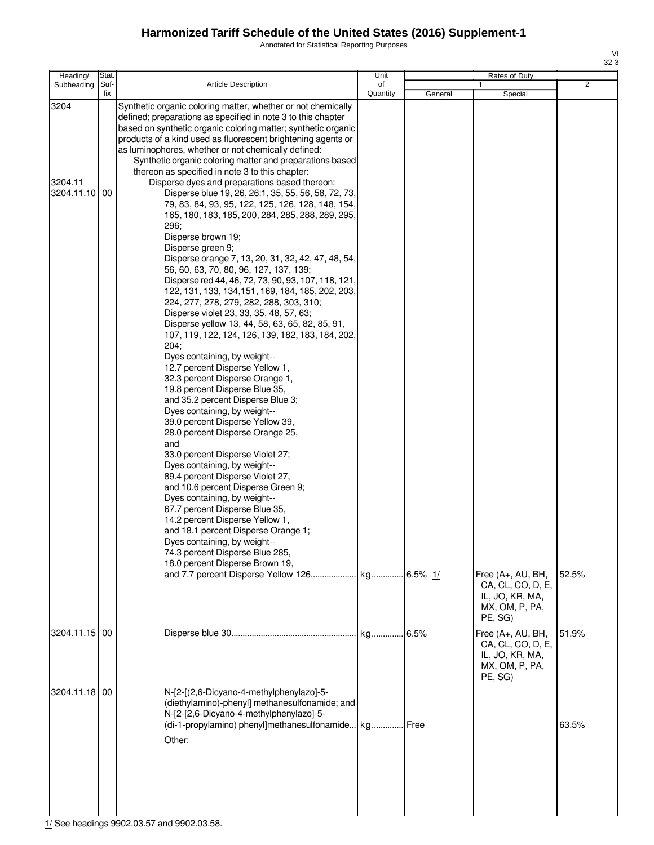Annotated for Statistical Reporting Purposes

| Heading/                      | Stat.       |                                                                                                                                                                                                                                                                                                                                                                                                                                                                                                                                                                                                                                                                                                                                                                                                                                                                                                                                                                                                                                                                                                                                                                                                                                                                                                                                                                                                                                                                                                                                                                                                                                                                                                                                                                                                                        | Unit           |         | Rates of Duty                                                                          |                |
|-------------------------------|-------------|------------------------------------------------------------------------------------------------------------------------------------------------------------------------------------------------------------------------------------------------------------------------------------------------------------------------------------------------------------------------------------------------------------------------------------------------------------------------------------------------------------------------------------------------------------------------------------------------------------------------------------------------------------------------------------------------------------------------------------------------------------------------------------------------------------------------------------------------------------------------------------------------------------------------------------------------------------------------------------------------------------------------------------------------------------------------------------------------------------------------------------------------------------------------------------------------------------------------------------------------------------------------------------------------------------------------------------------------------------------------------------------------------------------------------------------------------------------------------------------------------------------------------------------------------------------------------------------------------------------------------------------------------------------------------------------------------------------------------------------------------------------------------------------------------------------------|----------------|---------|----------------------------------------------------------------------------------------|----------------|
| Subheading                    | Suf-<br>fix | <b>Article Description</b>                                                                                                                                                                                                                                                                                                                                                                                                                                                                                                                                                                                                                                                                                                                                                                                                                                                                                                                                                                                                                                                                                                                                                                                                                                                                                                                                                                                                                                                                                                                                                                                                                                                                                                                                                                                             | of<br>Quantity | General | Special                                                                                | $\overline{2}$ |
| 3204<br>3204.11<br>3204.11.10 | 00          | Synthetic organic coloring matter, whether or not chemically<br>defined; preparations as specified in note 3 to this chapter<br>based on synthetic organic coloring matter; synthetic organic<br>products of a kind used as fluorescent brightening agents or<br>as luminophores, whether or not chemically defined:<br>Synthetic organic coloring matter and preparations based<br>thereon as specified in note 3 to this chapter:<br>Disperse dyes and preparations based thereon:<br>Disperse blue 19, 26, 26:1, 35, 55, 56, 58, 72, 73,<br>79, 83, 84, 93, 95, 122, 125, 126, 128, 148, 154,<br>165, 180, 183, 185, 200, 284, 285, 288, 289, 295,<br>296;<br>Disperse brown 19;<br>Disperse green 9;<br>Disperse orange 7, 13, 20, 31, 32, 42, 47, 48, 54,<br>56, 60, 63, 70, 80, 96, 127, 137, 139;<br>Disperse red 44, 46, 72, 73, 90, 93, 107, 118, 121,<br>122, 131, 133, 134, 151, 169, 184, 185, 202, 203,<br>224, 277, 278, 279, 282, 288, 303, 310;<br>Disperse violet 23, 33, 35, 48, 57, 63;<br>Disperse yellow 13, 44, 58, 63, 65, 82, 85, 91,<br>107, 119, 122, 124, 126, 139, 182, 183, 184, 202,<br>204:<br>Dyes containing, by weight--<br>12.7 percent Disperse Yellow 1,<br>32.3 percent Disperse Orange 1,<br>19.8 percent Disperse Blue 35,<br>and 35.2 percent Disperse Blue 3;<br>Dyes containing, by weight--<br>39.0 percent Disperse Yellow 39,<br>28.0 percent Disperse Orange 25,<br>and<br>33.0 percent Disperse Violet 27;<br>Dyes containing, by weight--<br>89.4 percent Disperse Violet 27,<br>and 10.6 percent Disperse Green 9;<br>Dyes containing, by weight--<br>67.7 percent Disperse Blue 35,<br>14.2 percent Disperse Yellow 1,<br>and 18.1 percent Disperse Orange 1;<br>Dyes containing, by weight--<br>74.3 percent Disperse Blue 285,<br>18.0 percent Disperse Brown 19, |                |         |                                                                                        |                |
|                               |             |                                                                                                                                                                                                                                                                                                                                                                                                                                                                                                                                                                                                                                                                                                                                                                                                                                                                                                                                                                                                                                                                                                                                                                                                                                                                                                                                                                                                                                                                                                                                                                                                                                                                                                                                                                                                                        |                |         | Free (A+, AU, BH,<br>CA, CL, CO, D, E,<br>IL, JO, KR, MA,<br>MX, OM, P, PA,<br>PE. SG) | 52.5%          |
| 3204.11.15 00                 |             |                                                                                                                                                                                                                                                                                                                                                                                                                                                                                                                                                                                                                                                                                                                                                                                                                                                                                                                                                                                                                                                                                                                                                                                                                                                                                                                                                                                                                                                                                                                                                                                                                                                                                                                                                                                                                        |                | 6.5%    | Free (A+, AU, BH,<br>CA, CL, CO, D, E,<br>IL, JO, KR, MA,<br>MX, OM, P, PA,<br>PE, SG) | 51.9%          |
| 3204.11.18 00                 |             | N-[2-[(2,6-Dicyano-4-methylphenylazo]-5-<br>(diethylamino)-phenyl] methanesulfonamide; and<br>N-[2-[2,6-Dicyano-4-methylphenylazo]-5-<br>(di-1-propylamino) phenyl]methanesulfonamide kg Free<br>Other:                                                                                                                                                                                                                                                                                                                                                                                                                                                                                                                                                                                                                                                                                                                                                                                                                                                                                                                                                                                                                                                                                                                                                                                                                                                                                                                                                                                                                                                                                                                                                                                                                |                |         |                                                                                        | 63.5%          |

1/ See headings 9902.03.57 and 9902.03.58.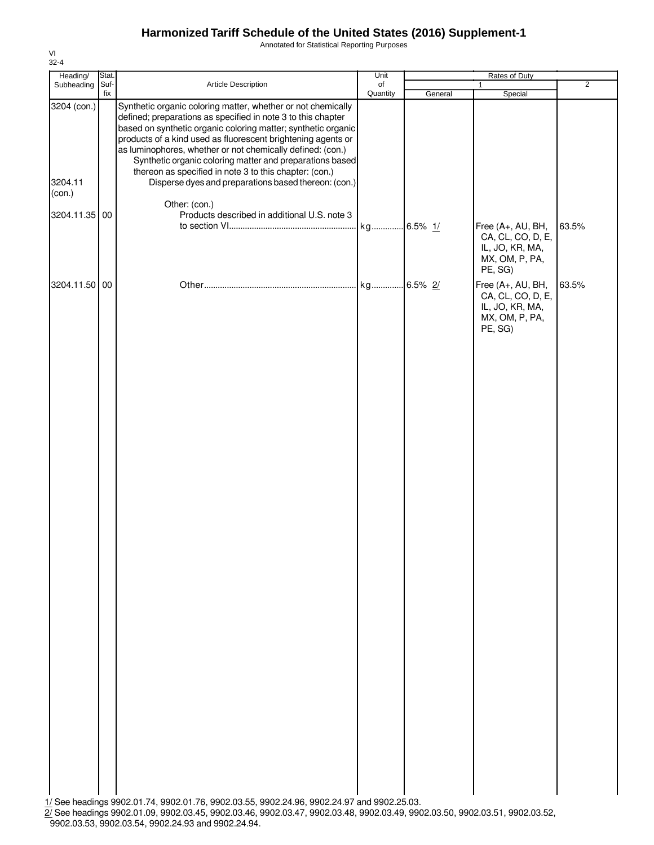Annotated for Statistical Reporting Purposes

| Heading/                                          | Stat.       |                                                                                                                                                                                                                                                                                                                                                                                                                                                                                                                                                                            | Unit           |         | Rates of Duty                                                                          |                |
|---------------------------------------------------|-------------|----------------------------------------------------------------------------------------------------------------------------------------------------------------------------------------------------------------------------------------------------------------------------------------------------------------------------------------------------------------------------------------------------------------------------------------------------------------------------------------------------------------------------------------------------------------------------|----------------|---------|----------------------------------------------------------------------------------------|----------------|
| Subheading                                        | Suf-<br>fix | Article Description                                                                                                                                                                                                                                                                                                                                                                                                                                                                                                                                                        | of<br>Quantity | General | $\mathbf{1}$<br>Special                                                                | $\overline{2}$ |
| 3204 (con.)<br>3204.11<br>(con.)<br>3204.11.35 00 |             | Synthetic organic coloring matter, whether or not chemically<br>defined; preparations as specified in note 3 to this chapter<br>based on synthetic organic coloring matter; synthetic organic<br>products of a kind used as fluorescent brightening agents or<br>as luminophores, whether or not chemically defined: (con.)<br>Synthetic organic coloring matter and preparations based<br>thereon as specified in note 3 to this chapter: (con.)<br>Disperse dyes and preparations based thereon: (con.)<br>Other: (con.)<br>Products described in additional U.S. note 3 |                |         |                                                                                        |                |
|                                                   |             |                                                                                                                                                                                                                                                                                                                                                                                                                                                                                                                                                                            | kg 6.5% 1/     |         | Free (A+, AU, BH,<br>CA, CL, CO, D, E,<br>IL, JO, KR, MA,<br>MX, OM, P, PA,<br>PE, SG) | 63.5%          |
| 3204.11.50 00                                     |             |                                                                                                                                                                                                                                                                                                                                                                                                                                                                                                                                                                            | kg 6.5% 2/     |         | Free (A+, AU, BH,<br>CA, CL, CO, D, E,<br>IL, JO, KR, MA,<br>MX, OM, P, PA,<br>PE, SG) | 63.5%          |
|                                                   |             | 1/ See headings 9902.01.74, 9902.01.76, 9902.03.55, 9902.24.96, 9902.24.97 and 9902.25.03.<br>2/ See headings 9902.01.09, 9902.03.45, 9902.03.46, 9902.03.47, 9902.03.48, 9902.03.49, 9902.03.50, 9902.03.51, 9902.03.52,                                                                                                                                                                                                                                                                                                                                                  |                |         |                                                                                        |                |

<sup>9902.03.53,</sup> 9902.03.54, 9902.24.93 and 9902.24.94.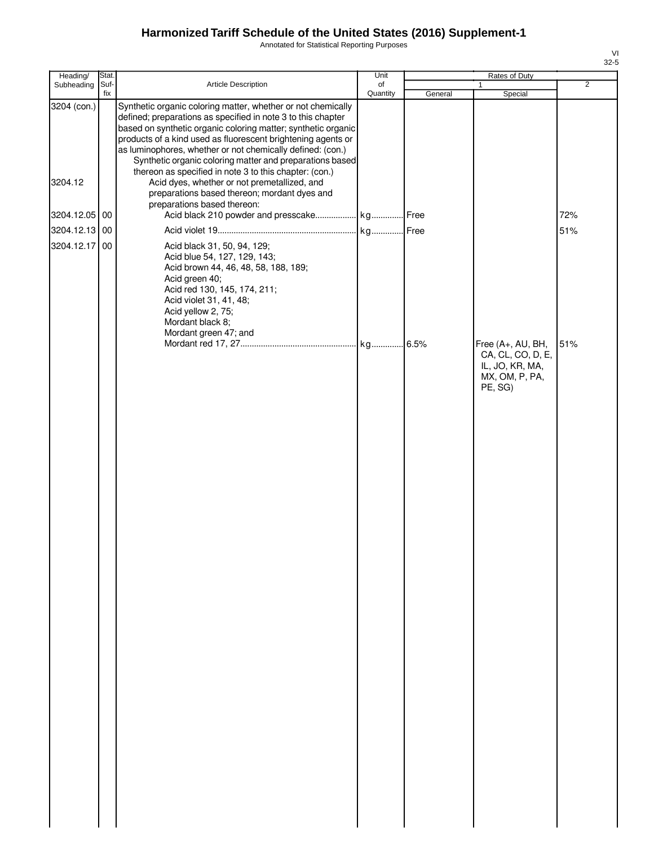Annotated for Statistical Reporting Purposes

| Heading/      | Stat.       |                                                                                                                                                                                                                                                                                                                                                                                         | Unit           |         | Rates of Duty                                                                          |                |
|---------------|-------------|-----------------------------------------------------------------------------------------------------------------------------------------------------------------------------------------------------------------------------------------------------------------------------------------------------------------------------------------------------------------------------------------|----------------|---------|----------------------------------------------------------------------------------------|----------------|
| Subheading    | Suf-<br>fix | Article Description                                                                                                                                                                                                                                                                                                                                                                     | of<br>Quantity | General | 1<br>Special                                                                           | $\overline{2}$ |
| 3204 (con.)   |             | Synthetic organic coloring matter, whether or not chemically<br>defined; preparations as specified in note 3 to this chapter<br>based on synthetic organic coloring matter; synthetic organic<br>products of a kind used as fluorescent brightening agents or<br>as luminophores, whether or not chemically defined: (con.)<br>Synthetic organic coloring matter and preparations based |                |         |                                                                                        |                |
| 3204.12       |             | thereon as specified in note 3 to this chapter: (con.)<br>Acid dyes, whether or not premetallized, and<br>preparations based thereon; mordant dyes and<br>preparations based thereon:                                                                                                                                                                                                   |                |         |                                                                                        |                |
| 3204.12.05 00 |             |                                                                                                                                                                                                                                                                                                                                                                                         |                |         |                                                                                        | 72%            |
| 3204.12.13 00 |             |                                                                                                                                                                                                                                                                                                                                                                                         |                |         |                                                                                        | 51%            |
| 3204.12.17 00 |             | Acid black 31, 50, 94, 129;<br>Acid blue 54, 127, 129, 143;<br>Acid brown 44, 46, 48, 58, 188, 189;<br>Acid green 40;<br>Acid red 130, 145, 174, 211;<br>Acid violet 31, 41, 48;<br>Acid yellow 2, 75;<br>Mordant black 8;<br>Mordant green 47; and                                                                                                                                     |                |         |                                                                                        |                |
|               |             |                                                                                                                                                                                                                                                                                                                                                                                         |                |         | Free (A+, AU, BH,<br>CA, CL, CO, D, E,<br>IL, JO, KR, MA,<br>MX, OM, P, PA,<br>PE, SG) | 51%            |
|               |             |                                                                                                                                                                                                                                                                                                                                                                                         |                |         |                                                                                        |                |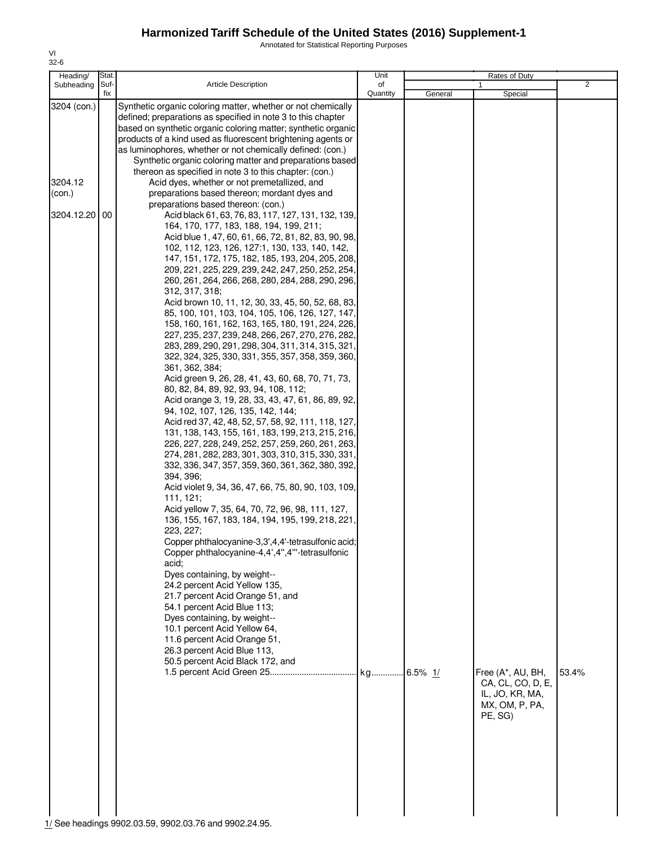Annotated for Statistical Reporting Purposes

| Stat.<br>Heading/                                 |                                                                                                                                                                                                                                                                                                                                                                                                                                                                                                                                                                                                                                                                                                                                                                                                                                                                                                                                                                                                                                                                                                                                                                                                                                                                                                                                         | Unit     |         | Rates of Duty                                                                          |                |
|---------------------------------------------------|-----------------------------------------------------------------------------------------------------------------------------------------------------------------------------------------------------------------------------------------------------------------------------------------------------------------------------------------------------------------------------------------------------------------------------------------------------------------------------------------------------------------------------------------------------------------------------------------------------------------------------------------------------------------------------------------------------------------------------------------------------------------------------------------------------------------------------------------------------------------------------------------------------------------------------------------------------------------------------------------------------------------------------------------------------------------------------------------------------------------------------------------------------------------------------------------------------------------------------------------------------------------------------------------------------------------------------------------|----------|---------|----------------------------------------------------------------------------------------|----------------|
| Subheading<br>Suf-                                | <b>Article Description</b>                                                                                                                                                                                                                                                                                                                                                                                                                                                                                                                                                                                                                                                                                                                                                                                                                                                                                                                                                                                                                                                                                                                                                                                                                                                                                                              | of       |         | 1                                                                                      |                |
| 3204 (con.)<br>3204.12<br>(con.)<br>3204.12.20 00 | fix<br>Synthetic organic coloring matter, whether or not chemically<br>defined; preparations as specified in note 3 to this chapter<br>based on synthetic organic coloring matter; synthetic organic<br>products of a kind used as fluorescent brightening agents or<br>as luminophores, whether or not chemically defined: (con.)<br>Synthetic organic coloring matter and preparations based<br>thereon as specified in note 3 to this chapter: (con.)<br>Acid dyes, whether or not premetallized, and<br>preparations based thereon; mordant dyes and<br>preparations based thereon: (con.)<br>Acid black 61, 63, 76, 83, 117, 127, 131, 132, 139,<br>164, 170, 177, 183, 188, 194, 199, 211;<br>Acid blue 1, 47, 60, 61, 66, 72, 81, 82, 83, 90, 98,<br>102, 112, 123, 126, 127:1, 130, 133, 140, 142,<br>147, 151, 172, 175, 182, 185, 193, 204, 205, 208,<br>209, 221, 225, 229, 239, 242, 247, 250, 252, 254,<br>260, 261, 264, 266, 268, 280, 284, 288, 290, 296,<br>312, 317, 318;<br>Acid brown 10, 11, 12, 30, 33, 45, 50, 52, 68, 83,<br>85, 100, 101, 103, 104, 105, 106, 126, 127, 147,                                                                                                                                                                                                                                   | Quantity | General | Special                                                                                | $\overline{2}$ |
|                                                   | 158, 160, 161, 162, 163, 165, 180, 191, 224, 226,<br>227, 235, 237, 239, 248, 266, 267, 270, 276, 282,<br>283, 289, 290, 291, 298, 304, 311, 314, 315, 321,<br>322, 324, 325, 330, 331, 355, 357, 358, 359, 360,<br>361, 362, 384;<br>Acid green 9, 26, 28, 41, 43, 60, 68, 70, 71, 73,<br>80, 82, 84, 89, 92, 93, 94, 108, 112;<br>Acid orange 3, 19, 28, 33, 43, 47, 61, 86, 89, 92,<br>94, 102, 107, 126, 135, 142, 144;<br>Acid red 37, 42, 48, 52, 57, 58, 92, 111, 118, 127,<br>131, 138, 143, 155, 161, 183, 199, 213, 215, 216,<br>226, 227, 228, 249, 252, 257, 259, 260, 261, 263,<br>274, 281, 282, 283, 301, 303, 310, 315, 330, 331<br>332, 336, 347, 357, 359, 360, 361, 362, 380, 392,<br>394, 396;<br>Acid violet 9, 34, 36, 47, 66, 75, 80, 90, 103, 109,<br>111, 121;<br>Acid yellow 7, 35, 64, 70, 72, 96, 98, 111, 127,<br>136, 155, 167, 183, 184, 194, 195, 199, 218, 221,<br>223, 227;<br>Copper phthalocyanine-3,3',4,4'-tetrasulfonic acid;<br>Copper phthalocyanine-4,4',4",4"'-tetrasulfonic<br>acid;<br>Dyes containing, by weight--<br>24.2 percent Acid Yellow 135,<br>21.7 percent Acid Orange 51, and<br>54.1 percent Acid Blue 113;<br>Dyes containing, by weight--<br>10.1 percent Acid Yellow 64,<br>11.6 percent Acid Orange 51,<br>26.3 percent Acid Blue 113,<br>50.5 percent Acid Black 172, and |          |         | Free (A*, AU, BH,<br>CA, CL, CO, D, E,<br>IL, JO, KR, MA,<br>MX, OM, P, PA,<br>PE, SG) | 53.4%          |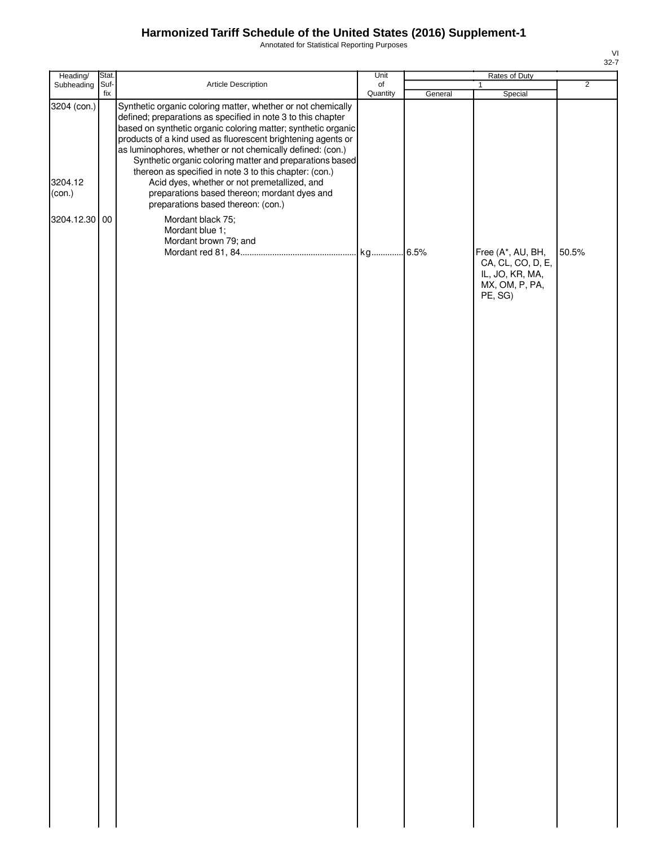Annotated for Statistical Reporting Purposes

32-7

VI

| Heading/                         | Stat.       |                                                                                                                                                                                                                                                                                                                                                                                                                                                                                                                                                                                         | Unit                  |         | Rates of Duty                                                                          |                |
|----------------------------------|-------------|-----------------------------------------------------------------------------------------------------------------------------------------------------------------------------------------------------------------------------------------------------------------------------------------------------------------------------------------------------------------------------------------------------------------------------------------------------------------------------------------------------------------------------------------------------------------------------------------|-----------------------|---------|----------------------------------------------------------------------------------------|----------------|
| Subheading                       | Suf-<br>fix | Article Description                                                                                                                                                                                                                                                                                                                                                                                                                                                                                                                                                                     | $\circ$ f<br>Quantity | General | $\mathbf{1}$<br>Special                                                                | $\overline{2}$ |
| 3204 (con.)<br>3204.12<br>(con.) |             | Synthetic organic coloring matter, whether or not chemically<br>defined; preparations as specified in note 3 to this chapter<br>based on synthetic organic coloring matter; synthetic organic<br>products of a kind used as fluorescent brightening agents or<br>as luminophores, whether or not chemically defined: (con.)<br>Synthetic organic coloring matter and preparations based<br>thereon as specified in note 3 to this chapter: (con.)<br>Acid dyes, whether or not premetallized, and<br>preparations based thereon; mordant dyes and<br>preparations based thereon: (con.) |                       |         |                                                                                        |                |
| 3204.12.30 00                    |             | Mordant black 75;                                                                                                                                                                                                                                                                                                                                                                                                                                                                                                                                                                       |                       |         |                                                                                        |                |
|                                  |             | Mordant blue 1;                                                                                                                                                                                                                                                                                                                                                                                                                                                                                                                                                                         |                       |         |                                                                                        |                |
|                                  |             | Mordant brown 79; and                                                                                                                                                                                                                                                                                                                                                                                                                                                                                                                                                                   |                       |         | Free (A*, AU, BH,<br>CA, CL, CO, D, E,<br>IL, JO, KR, MA,<br>MX, OM, P, PA,<br>PE, SG) | 50.5%          |
|                                  |             |                                                                                                                                                                                                                                                                                                                                                                                                                                                                                                                                                                                         |                       |         |                                                                                        |                |
|                                  |             |                                                                                                                                                                                                                                                                                                                                                                                                                                                                                                                                                                                         |                       |         |                                                                                        |                |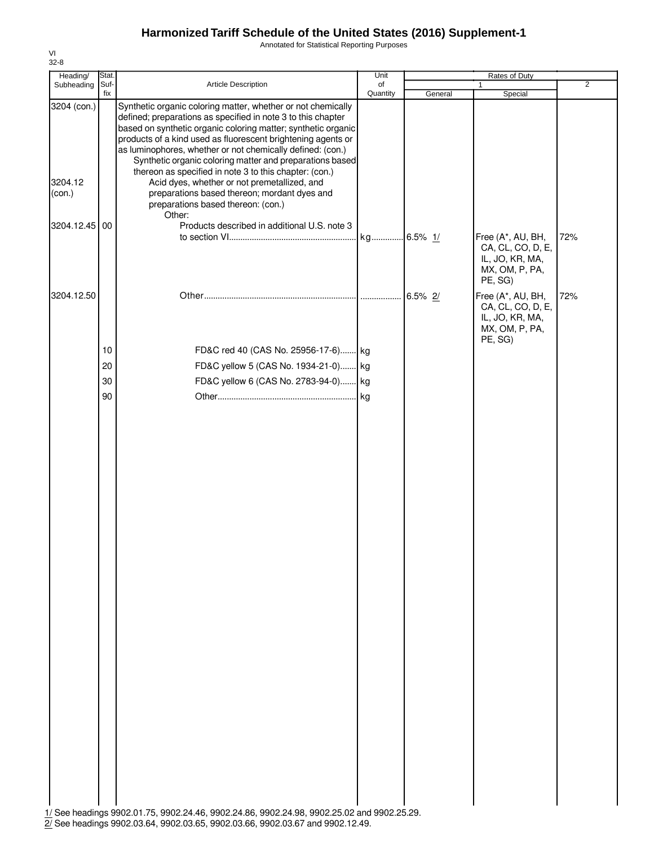Annotated for Statistical Reporting Purposes

| Suf-<br>Article Description<br>of<br>Subheading<br>$\mathbf{1}$<br>fix<br>Quantity<br>Special<br>General<br>3204 (con.)<br>Synthetic organic coloring matter, whether or not chemically<br>defined; preparations as specified in note 3 to this chapter<br>based on synthetic organic coloring matter; synthetic organic<br>products of a kind used as fluorescent brightening agents or<br>as luminophores, whether or not chemically defined: (con.)<br>Synthetic organic coloring matter and preparations based<br>thereon as specified in note 3 to this chapter: (con.)<br>3204.12<br>Acid dyes, whether or not premetallized, and<br>preparations based thereon; mordant dyes and<br>(con.)<br>preparations based thereon: (con.)<br>Other:<br>Products described in additional U.S. note 3<br>3204.12.45<br>00<br>72%<br>Free (A*, AU, BH,<br>CA, CL, CO, D, E,<br>IL, JO, KR, MA,<br>MX, OM, P, PA,<br>PE, SG)<br>3204.12.50<br>Free (A*, AU, BH,<br>72%<br>CA, CL, CO, D, E,<br>IL, JO, KR, MA,<br>MX, OM, P, PA,<br>PE, SG)<br>FD&C red 40 (CAS No. 25956-17-6) kg<br>10<br>20<br>FD&C yellow 5 (CAS No. 1934-21-0) kg<br>FD&C yellow 6 (CAS No. 2783-94-0) kg<br>30<br>90 | Heading/ | Stat. | Unit | Rates of Duty |                |
|--------------------------------------------------------------------------------------------------------------------------------------------------------------------------------------------------------------------------------------------------------------------------------------------------------------------------------------------------------------------------------------------------------------------------------------------------------------------------------------------------------------------------------------------------------------------------------------------------------------------------------------------------------------------------------------------------------------------------------------------------------------------------------------------------------------------------------------------------------------------------------------------------------------------------------------------------------------------------------------------------------------------------------------------------------------------------------------------------------------------------------------------------------------------------------------|----------|-------|------|---------------|----------------|
|                                                                                                                                                                                                                                                                                                                                                                                                                                                                                                                                                                                                                                                                                                                                                                                                                                                                                                                                                                                                                                                                                                                                                                                      |          |       |      |               | $\overline{2}$ |
|                                                                                                                                                                                                                                                                                                                                                                                                                                                                                                                                                                                                                                                                                                                                                                                                                                                                                                                                                                                                                                                                                                                                                                                      |          |       |      |               |                |
|                                                                                                                                                                                                                                                                                                                                                                                                                                                                                                                                                                                                                                                                                                                                                                                                                                                                                                                                                                                                                                                                                                                                                                                      |          |       |      |               |                |
|                                                                                                                                                                                                                                                                                                                                                                                                                                                                                                                                                                                                                                                                                                                                                                                                                                                                                                                                                                                                                                                                                                                                                                                      |          |       |      |               |                |
|                                                                                                                                                                                                                                                                                                                                                                                                                                                                                                                                                                                                                                                                                                                                                                                                                                                                                                                                                                                                                                                                                                                                                                                      |          |       |      |               |                |
|                                                                                                                                                                                                                                                                                                                                                                                                                                                                                                                                                                                                                                                                                                                                                                                                                                                                                                                                                                                                                                                                                                                                                                                      |          |       |      |               |                |
|                                                                                                                                                                                                                                                                                                                                                                                                                                                                                                                                                                                                                                                                                                                                                                                                                                                                                                                                                                                                                                                                                                                                                                                      |          |       |      |               |                |
|                                                                                                                                                                                                                                                                                                                                                                                                                                                                                                                                                                                                                                                                                                                                                                                                                                                                                                                                                                                                                                                                                                                                                                                      |          |       |      |               |                |

2/ See headings 9902.03.64, 9902.03.65, 9902.03.66, 9902.03.67 and 9902.12.49.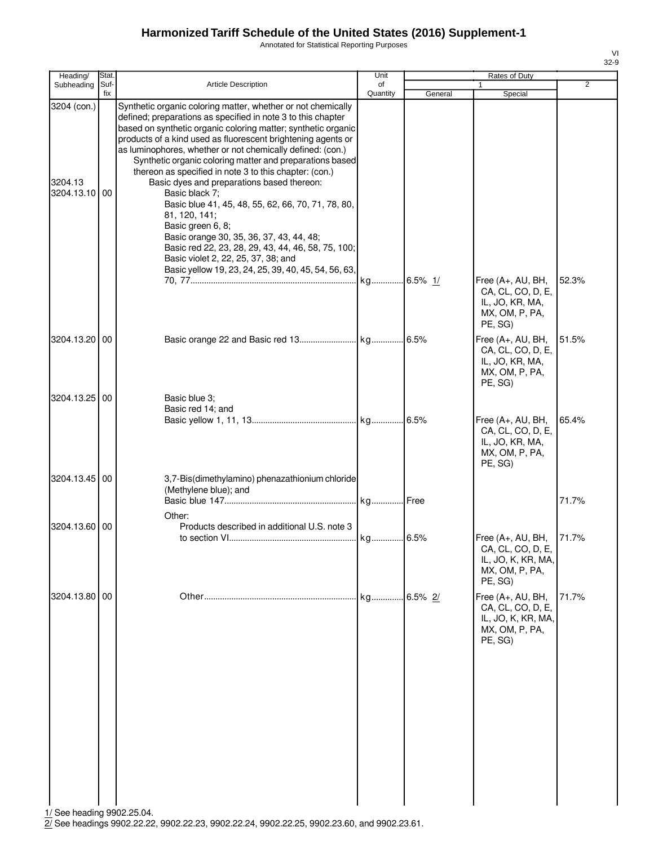Annotated for Statistical Reporting Purposes

| Heading/                                | Stat.       |                                                                                                                                                                                                                                                                                                                                                                                                                                                                                                                                                                                                                                                                                                                                                                                                                | Unit           |         | Rates of Duty                                                                               |                |
|-----------------------------------------|-------------|----------------------------------------------------------------------------------------------------------------------------------------------------------------------------------------------------------------------------------------------------------------------------------------------------------------------------------------------------------------------------------------------------------------------------------------------------------------------------------------------------------------------------------------------------------------------------------------------------------------------------------------------------------------------------------------------------------------------------------------------------------------------------------------------------------------|----------------|---------|---------------------------------------------------------------------------------------------|----------------|
| Subheading                              | Suf-<br>fix | Article Description                                                                                                                                                                                                                                                                                                                                                                                                                                                                                                                                                                                                                                                                                                                                                                                            | of<br>Quantity | General | 1<br>Special                                                                                | $\overline{2}$ |
| 3204 (con.)<br>3204.13<br>3204.13.10 00 |             | Synthetic organic coloring matter, whether or not chemically<br>defined; preparations as specified in note 3 to this chapter<br>based on synthetic organic coloring matter; synthetic organic<br>products of a kind used as fluorescent brightening agents or<br>as luminophores, whether or not chemically defined: (con.)<br>Synthetic organic coloring matter and preparations based<br>thereon as specified in note 3 to this chapter: (con.)<br>Basic dyes and preparations based thereon:<br>Basic black 7;<br>Basic blue 41, 45, 48, 55, 62, 66, 70, 71, 78, 80,<br>81, 120, 141;<br>Basic green 6, 8;<br>Basic orange 30, 35, 36, 37, 43, 44, 48;<br>Basic red 22, 23, 28, 29, 43, 44, 46, 58, 75, 100;<br>Basic violet 2, 22, 25, 37, 38; and<br>Basic yellow 19, 23, 24, 25, 39, 40, 45, 54, 56, 63, |                |         |                                                                                             |                |
|                                         |             |                                                                                                                                                                                                                                                                                                                                                                                                                                                                                                                                                                                                                                                                                                                                                                                                                |                |         | Free (A+, AU, BH,<br>CA, CL, CO, D, E,<br>IL, JO, KR, MA,<br>MX, OM, P, PA,<br>PE, SG)      | 52.3%          |
| 3204.13.20 00                           |             |                                                                                                                                                                                                                                                                                                                                                                                                                                                                                                                                                                                                                                                                                                                                                                                                                |                |         | Free (A+, AU, BH,<br>CA, CL, CO, D, E,<br>IL, JO, KR, MA,<br>MX, OM, P, PA,<br>PE, SG)      | 51.5%          |
| 3204.13.25 00                           |             | Basic blue 3;<br>Basic red 14; and                                                                                                                                                                                                                                                                                                                                                                                                                                                                                                                                                                                                                                                                                                                                                                             |                |         | Free (A+, AU, BH,<br>CA, CL, CO, D, E,<br>IL, JO, KR, MA,<br>MX, OM, P, PA,<br>PE, SG)      | 65.4%          |
| 3204.13.45 00                           |             | 3,7-Bis(dimethylamino) phenazathionium chloride<br>(Methylene blue); and                                                                                                                                                                                                                                                                                                                                                                                                                                                                                                                                                                                                                                                                                                                                       |                |         |                                                                                             | 71.7%          |
| 3204.13.60 00                           |             | Other:<br>Products described in additional U.S. note 3                                                                                                                                                                                                                                                                                                                                                                                                                                                                                                                                                                                                                                                                                                                                                         |                |         | Free $(A+, AU, BH,$<br>CA, CL, CO, D, E,<br>IL, JO, K, KR, MA,<br>MX, OM, P, PA,<br>PE, SG) | 71.7%          |
| 3204.13.80 00                           |             |                                                                                                                                                                                                                                                                                                                                                                                                                                                                                                                                                                                                                                                                                                                                                                                                                | kg             | 6.5% 2/ | Free (A+, AU, BH,<br>CA, CL, CO, D, E,<br>IL, JO, K, KR, MA,<br>MX, OM, P, PA,<br>PE, SG)   | 71.7%          |

1/ See heading 9902.25.04.

2/ See headings 9902.22.22, 9902.22.23, 9902.22.24, 9902.22.25, 9902.23.60, and 9902.23.61.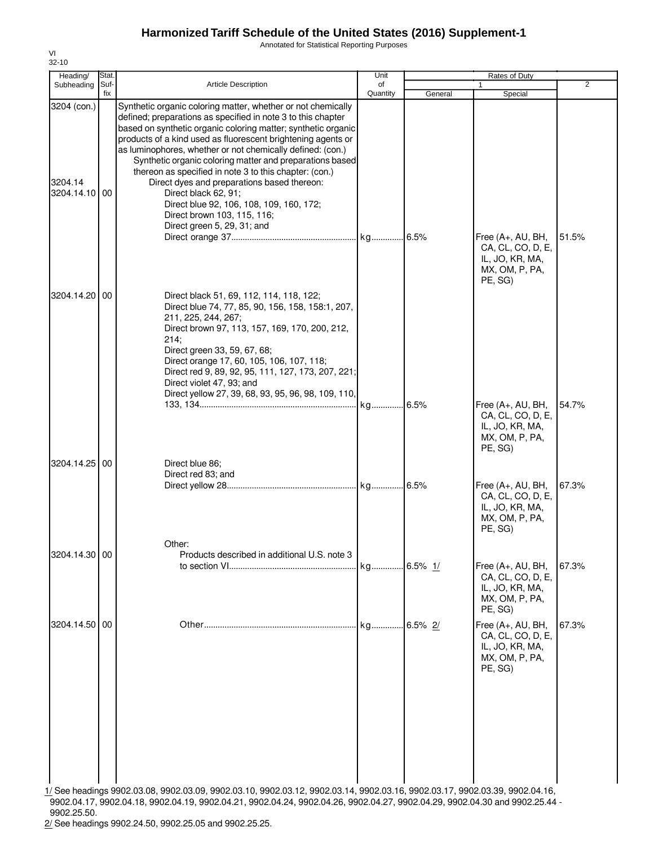Annotated for Statistical Reporting Purposes

| Heading/                             | Stat.       |                                                                                                                                                                                                                                                                                                                                                                                                                                                                                                                                                                                                                                    | Unit           |            | Rates of Duty                                                                                                       |                |
|--------------------------------------|-------------|------------------------------------------------------------------------------------------------------------------------------------------------------------------------------------------------------------------------------------------------------------------------------------------------------------------------------------------------------------------------------------------------------------------------------------------------------------------------------------------------------------------------------------------------------------------------------------------------------------------------------------|----------------|------------|---------------------------------------------------------------------------------------------------------------------|----------------|
| Subheading                           | Suf-<br>fix | <b>Article Description</b>                                                                                                                                                                                                                                                                                                                                                                                                                                                                                                                                                                                                         | of<br>Quantity | General    | Special                                                                                                             | $\overline{2}$ |
| 3204 (con.)<br>3204.14<br>3204.14.10 | 00          | Synthetic organic coloring matter, whether or not chemically<br>defined; preparations as specified in note 3 to this chapter<br>based on synthetic organic coloring matter; synthetic organic<br>products of a kind used as fluorescent brightening agents or<br>as luminophores, whether or not chemically defined: (con.)<br>Synthetic organic coloring matter and preparations based<br>thereon as specified in note 3 to this chapter: (con.)<br>Direct dyes and preparations based thereon:<br>Direct black 62, 91;<br>Direct blue 92, 106, 108, 109, 160, 172;<br>Direct brown 103, 115, 116;<br>Direct green 5, 29, 31; and |                |            | Free (A+, AU, BH,<br>CA, CL, CO, D, E,                                                                              | 51.5%          |
| 3204.14.20                           | 00          | Direct black 51, 69, 112, 114, 118, 122;<br>Direct blue 74, 77, 85, 90, 156, 158, 158:1, 207,<br>211, 225, 244, 267;<br>Direct brown 97, 113, 157, 169, 170, 200, 212,<br>214:<br>Direct green 33, 59, 67, 68;<br>Direct orange 17, 60, 105, 106, 107, 118;<br>Direct red 9, 89, 92, 95, 111, 127, 173, 207, 221;<br>Direct violet 47, 93; and<br>Direct yellow 27, 39, 68, 93, 95, 96, 98, 109, 110,                                                                                                                                                                                                                              |                |            | IL, JO, KR, MA,<br>MX, OM, P, PA,<br>PE, SG)<br>Free (A+, AU, BH,<br>CA, CL, CO, D, E,<br>IL, JO, KR, MA,           | 54.7%          |
| 3204.14.25 00                        |             | Direct blue 86;<br>Direct red 83; and                                                                                                                                                                                                                                                                                                                                                                                                                                                                                                                                                                                              |                |            | MX, OM, P, PA,<br>PE, SG)<br>Free (A+, AU, BH,<br>CA, CL, CO, D, E,<br>IL, JO, KR, MA,<br>MX, OM, P, PA,<br>PE, SG) | 67.3%          |
| 3204.14.30 00                        |             | Other:<br>Products described in additional U.S. note 3                                                                                                                                                                                                                                                                                                                                                                                                                                                                                                                                                                             |                |            | Free (A+, AU, BH,<br>CA, CL, CO, D, E,<br>IL, JO, KR, MA,<br>MX, OM, P, PA,<br>PE, SG)                              | 67.3%          |
| 3204.14.50 00                        |             |                                                                                                                                                                                                                                                                                                                                                                                                                                                                                                                                                                                                                                    | kg             | $6.5\%$ 2/ | Free (A+, AU, BH,<br>CA, CL, CO, D, E,<br>IL, JO, KR, MA,<br>MX, OM, P, PA,<br>PE, SG)                              | 67.3%          |
|                                      |             | 1/ See headings 9902.03.08, 9902.03.09, 9902.03.10, 9902.03.12, 9902.03.14, 9902.03.16, 9902.03.17, 9902.03.39, 9902.04.16,                                                                                                                                                                                                                                                                                                                                                                                                                                                                                                        |                |            |                                                                                                                     |                |

9902.04.17, 9902.04.18, 9902.04.19, 9902.04.21, 9902.04.24, 9902.04.26, 9902.04.27, 9902.04.29, 9902.04.30 and 9902.25.44 - 9902.25.50.

2/ See headings 9902.24.50, 9902.25.05 and 9902.25.25.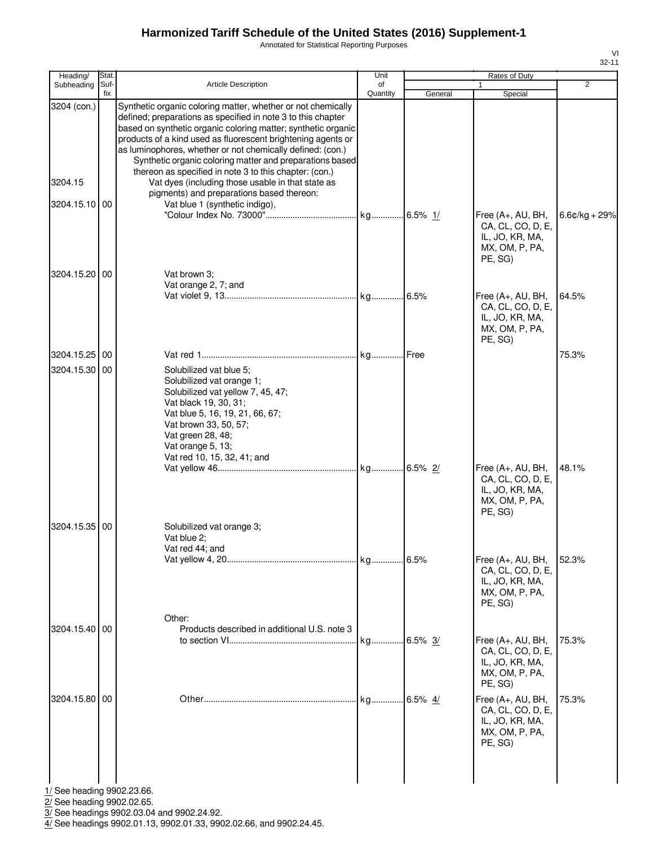Annotated for Statistical Reporting Purposes

| Heading/                       | Stat.       |                                                                                                                                                                                                                                                                                                                                                                                         | Unit           |         | Rates of Duty                                                                            |                  |
|--------------------------------|-------------|-----------------------------------------------------------------------------------------------------------------------------------------------------------------------------------------------------------------------------------------------------------------------------------------------------------------------------------------------------------------------------------------|----------------|---------|------------------------------------------------------------------------------------------|------------------|
| Subheading                     | Suf-<br>fix | <b>Article Description</b>                                                                                                                                                                                                                                                                                                                                                              | of<br>Quantity | General | $\mathbf{1}$<br>Special                                                                  | $\overline{2}$   |
| 3204 (con.)                    |             | Synthetic organic coloring matter, whether or not chemically<br>defined; preparations as specified in note 3 to this chapter<br>based on synthetic organic coloring matter; synthetic organic<br>products of a kind used as fluorescent brightening agents or<br>as luminophores, whether or not chemically defined: (con.)<br>Synthetic organic coloring matter and preparations based |                |         |                                                                                          |                  |
| 3204.15                        |             | thereon as specified in note 3 to this chapter: (con.)<br>Vat dyes (including those usable in that state as<br>pigments) and preparations based thereon:                                                                                                                                                                                                                                |                |         |                                                                                          |                  |
| 3204.15.10 00                  |             | Vat blue 1 (synthetic indigo),                                                                                                                                                                                                                                                                                                                                                          |                |         | Free (A+, AU, BH,<br>CA, CL, CO, D, E,<br>IL, JO, KR, MA,<br>MX, OM, P, PA,<br>PE, SG)   | $6.6$ ¢/kg + 29% |
| 3204.15.20 00                  |             | Vat brown 3;<br>Vat orange 2, 7; and                                                                                                                                                                                                                                                                                                                                                    |                | 6.5%    | Free (A+, AU, BH,<br>CA, CL, CO, D, E,<br>IL, JO, KR, MA,<br>MX, OM, P, PA,<br>PE, SG)   | 64.5%            |
| 3204.15.25 00<br>3204.15.30 00 |             | Solubilized vat blue 5;<br>Solubilized vat orange 1;<br>Solubilized vat yellow 7, 45, 47;<br>Vat black 19, 30, 31;<br>Vat blue 5, 16, 19, 21, 66, 67;<br>Vat brown 33, 50, 57;<br>Vat green 28, 48;<br>Vat orange 5, 13;                                                                                                                                                                |                |         |                                                                                          | 75.3%            |
| 3204.15.35                     | 00          | Vat red 10, 15, 32, 41; and<br>Solubilized vat orange 3;<br>Vat blue 2;                                                                                                                                                                                                                                                                                                                 |                |         | Free (A+, AU, BH,<br>CA, CL, CO, D, E,<br>IL, JO, KR, MA,<br>MX, OM, P, PA,<br>PE, SG)   | 48.1%            |
|                                |             | Vat red 44; and                                                                                                                                                                                                                                                                                                                                                                         |                | 6.5%    | Free (A+, AU, BH,<br>CA, CL, CO, D, E,<br>IL, JO, KR, MA,<br>MX, OM, P, PA,<br>PE, SG)   | 52.3%            |
| 3204.15.40 00                  |             | Other:<br>Products described in additional U.S. note 3                                                                                                                                                                                                                                                                                                                                  |                |         | Free $(A+, AU, BH,$<br>CA, CL, CO, D, E,<br>IL, JO, KR, MA,<br>MX, OM, P, PA,<br>PE, SG) | 75.3%            |
| 3204.15.80   00                |             |                                                                                                                                                                                                                                                                                                                                                                                         | kg             | 6.5% 4/ | Free (A+, AU, BH,<br>CA, CL, CO, D, E,<br>IL, JO, KR, MA,<br>MX, OM, P, PA,<br>PE, SG)   | 75.3%            |

1/ See heading 9902.23.66.

2/ See heading 9902.02.65.

3/ See headings 9902.03.04 and 9902.24.92.

4/ See headings 9902.01.13, 9902.01.33, 9902.02.66, and 9902.24.45.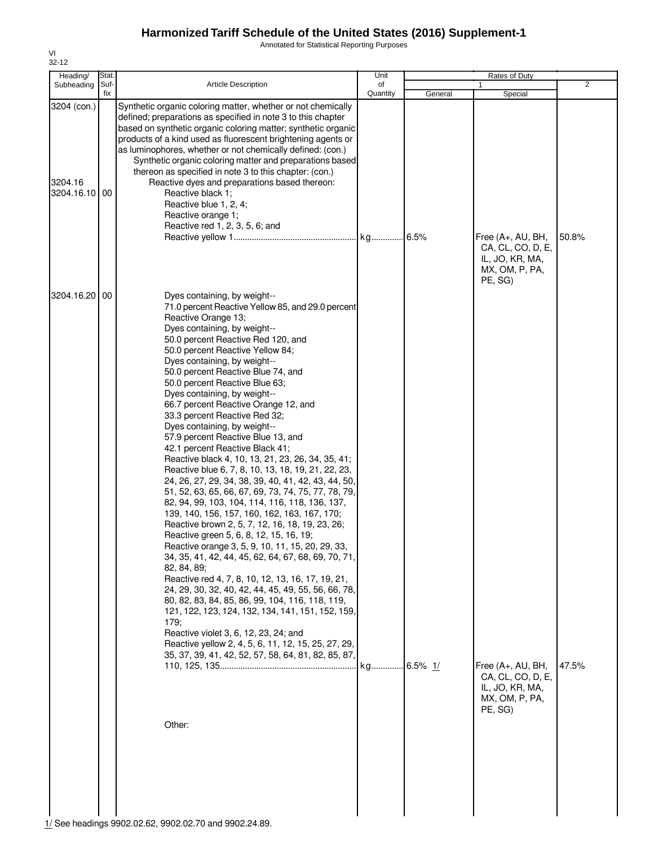Annotated for Statistical Reporting Purposes

| Heading/                                | Stat. |                                                                                                                                                                                                                                                                                                                                                                                                                                                                                                                                                                                                                                                                                                                                                                                                                                                                                                                                                                                                                                                                                                                                                                                                                                                                                                                                                                                                                                                                                              | Unit     |             | Rates of Duty                                                                                                                                                 |                |
|-----------------------------------------|-------|----------------------------------------------------------------------------------------------------------------------------------------------------------------------------------------------------------------------------------------------------------------------------------------------------------------------------------------------------------------------------------------------------------------------------------------------------------------------------------------------------------------------------------------------------------------------------------------------------------------------------------------------------------------------------------------------------------------------------------------------------------------------------------------------------------------------------------------------------------------------------------------------------------------------------------------------------------------------------------------------------------------------------------------------------------------------------------------------------------------------------------------------------------------------------------------------------------------------------------------------------------------------------------------------------------------------------------------------------------------------------------------------------------------------------------------------------------------------------------------------|----------|-------------|---------------------------------------------------------------------------------------------------------------------------------------------------------------|----------------|
| Subheading                              | Suf-  | <b>Article Description</b>                                                                                                                                                                                                                                                                                                                                                                                                                                                                                                                                                                                                                                                                                                                                                                                                                                                                                                                                                                                                                                                                                                                                                                                                                                                                                                                                                                                                                                                                   | of       |             | 1                                                                                                                                                             | $\overline{2}$ |
| 3204 (con.)<br>3204.16<br>3204.16.10 00 | fix   | Synthetic organic coloring matter, whether or not chemically<br>defined; preparations as specified in note 3 to this chapter<br>based on synthetic organic coloring matter; synthetic organic<br>products of a kind used as fluorescent brightening agents or<br>as luminophores, whether or not chemically defined: (con.)<br>Synthetic organic coloring matter and preparations based<br>thereon as specified in note 3 to this chapter: (con.)<br>Reactive dyes and preparations based thereon:<br>Reactive black 1:<br>Reactive blue 1, 2, 4;<br>Reactive orange 1;<br>Reactive red 1, 2, 3, 5, 6; and                                                                                                                                                                                                                                                                                                                                                                                                                                                                                                                                                                                                                                                                                                                                                                                                                                                                                   | Quantity | General     | Special<br>Free (A+, AU, BH,                                                                                                                                  | 50.8%          |
| 3204.16.20                              | 00    | Dyes containing, by weight--<br>71.0 percent Reactive Yellow 85, and 29.0 percent<br>Reactive Orange 13;<br>Dyes containing, by weight--<br>50.0 percent Reactive Red 120, and<br>50.0 percent Reactive Yellow 84;<br>Dyes containing, by weight--<br>50.0 percent Reactive Blue 74, and<br>50.0 percent Reactive Blue 63;<br>Dyes containing, by weight--<br>66.7 percent Reactive Orange 12, and<br>33.3 percent Reactive Red 32;<br>Dyes containing, by weight--<br>57.9 percent Reactive Blue 13, and<br>42.1 percent Reactive Black 41;<br>Reactive black 4, 10, 13, 21, 23, 26, 34, 35, 41;<br>Reactive blue 6, 7, 8, 10, 13, 18, 19, 21, 22, 23,<br>24, 26, 27, 29, 34, 38, 39, 40, 41, 42, 43, 44, 50,<br>51, 52, 63, 65, 66, 67, 69, 73, 74, 75, 77, 78, 79,<br>82, 94, 99, 103, 104, 114, 116, 118, 136, 137,<br>139, 140, 156, 157, 160, 162, 163, 167, 170;<br>Reactive brown 2, 5, 7, 12, 16, 18, 19, 23, 26;<br>Reactive green 5, 6, 8, 12, 15, 16, 19;<br>Reactive orange 3, 5, 9, 10, 11, 15, 20, 29, 33,<br>34, 35, 41, 42, 44, 45, 62, 64, 67, 68, 69, 70, 71,<br>82, 84, 89;<br>Reactive red 4, 7, 8, 10, 12, 13, 16, 17, 19, 21,<br>24, 29, 30, 32, 40, 42, 44, 45, 49, 55, 56, 66, 78,<br>80, 82, 83, 84, 85, 86, 99, 104, 116, 118, 119,<br>121, 122, 123, 124, 132, 134, 141, 151, 152, 159,<br>179;<br>Reactive violet 3, 6, 12, 23, 24; and<br>Reactive yellow 2, 4, 5, 6, 11, 12, 15, 25, 27, 29,<br>35, 37, 39, 41, 42, 52, 57, 58, 64, 81, 82, 85, 87,<br>Other: | kg       | $.6.5\%$ 1/ | CA, CL, CO, D, E,<br>IL, JO, KR, MA,<br>MX, OM, P, PA,<br>PE, SG)<br>Free $(A+, AU, BH,$<br>CA, CL, CO, D, E,<br>IL, JO, KR, MA,<br>MX, OM, P, PA,<br>PE, SG) | 47.5%          |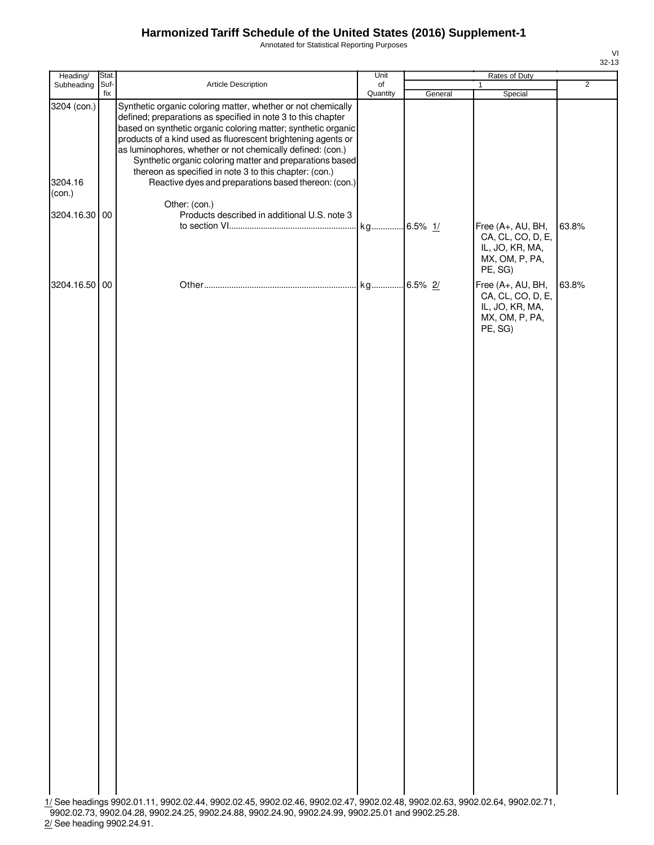Annotated for Statistical Reporting Purposes

| ۰, |
|----|

| Heading/                         | Stat.       |                                                                                                                                                                                                                                                                                                                                                                                                                                                                                                           | Unit           |         | Rates of Duty                                                                          |                |
|----------------------------------|-------------|-----------------------------------------------------------------------------------------------------------------------------------------------------------------------------------------------------------------------------------------------------------------------------------------------------------------------------------------------------------------------------------------------------------------------------------------------------------------------------------------------------------|----------------|---------|----------------------------------------------------------------------------------------|----------------|
| Subheading                       | Suf-<br>fix | Article Description                                                                                                                                                                                                                                                                                                                                                                                                                                                                                       | of<br>Quantity | General | Special                                                                                | $\overline{2}$ |
| 3204 (con.)<br>3204.16<br>(con.) |             | Synthetic organic coloring matter, whether or not chemically<br>defined; preparations as specified in note 3 to this chapter<br>based on synthetic organic coloring matter; synthetic organic<br>products of a kind used as fluorescent brightening agents or<br>as luminophores, whether or not chemically defined: (con.)<br>Synthetic organic coloring matter and preparations based<br>thereon as specified in note 3 to this chapter: (con.)<br>Reactive dyes and preparations based thereon: (con.) |                |         |                                                                                        |                |
| 3204.16.30                       | 00          | Other: (con.)<br>Products described in additional U.S. note 3                                                                                                                                                                                                                                                                                                                                                                                                                                             |                |         |                                                                                        |                |
|                                  |             |                                                                                                                                                                                                                                                                                                                                                                                                                                                                                                           |                |         | Free (A+, AU, BH,<br>CA, CL, CO, D, E,<br>IL, JO, KR, MA,<br>MX, OM, P, PA,<br>PE, SG) | 63.8%          |
| 3204.16.50 00                    |             |                                                                                                                                                                                                                                                                                                                                                                                                                                                                                                           |                |         | Free (A+, AU, BH,<br>CA, CL, CO, D, E,<br>IL, JO, KR, MA,<br>MX, OM, P, PA,<br>PE, SG) | 63.8%          |
|                                  |             | 1/ See headings 9902.01.11, 9902.02.44, 9902.02.45, 9902.02.46, 9902.02.47, 9902.02.48, 9902.02.63, 9902.02.64, 9902.02.71,                                                                                                                                                                                                                                                                                                                                                                               |                |         |                                                                                        |                |
|                                  |             | 9902.02.73, 9902.04.28, 9902.24.25, 9902.24.88, 9902.24.90, 9902.24.99, 9902.25.01 and 9902.25.28.                                                                                                                                                                                                                                                                                                                                                                                                        |                |         |                                                                                        |                |

2/ See heading 9902.24.91.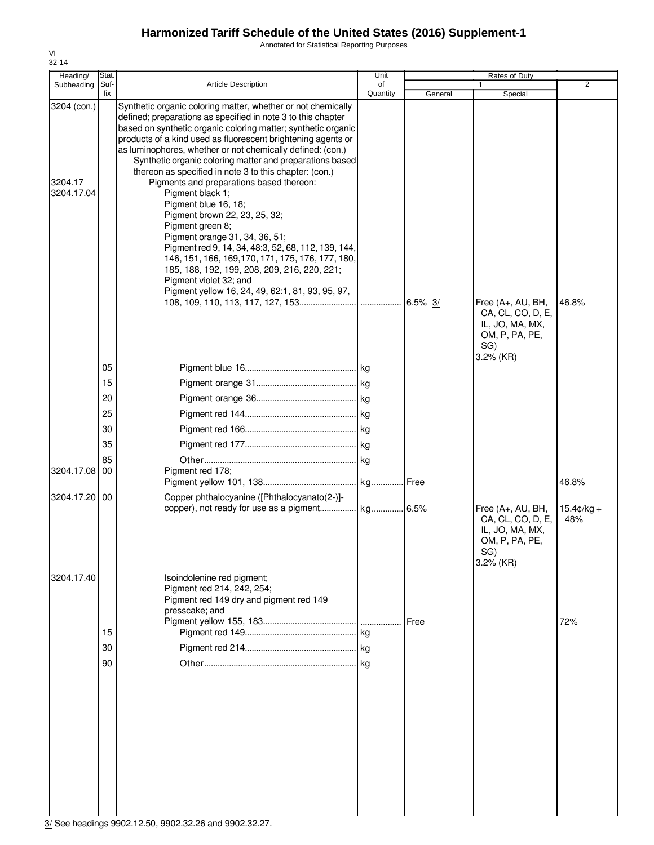Annotated for Statistical Reporting Purposes

| Heading/                             | Stat                                               |                                                                                                                                                                                                                                                                                                                                                                                                                                                                                                                                                                                                                                                                                                                                                                                                                                                                            | Unit           |         | Rates of Duty                                                                                                     |                                      |
|--------------------------------------|----------------------------------------------------|----------------------------------------------------------------------------------------------------------------------------------------------------------------------------------------------------------------------------------------------------------------------------------------------------------------------------------------------------------------------------------------------------------------------------------------------------------------------------------------------------------------------------------------------------------------------------------------------------------------------------------------------------------------------------------------------------------------------------------------------------------------------------------------------------------------------------------------------------------------------------|----------------|---------|-------------------------------------------------------------------------------------------------------------------|--------------------------------------|
| Subheading                           | Suf-<br>fix                                        | <b>Article Description</b>                                                                                                                                                                                                                                                                                                                                                                                                                                                                                                                                                                                                                                                                                                                                                                                                                                                 | of<br>Quantity | General | $\mathbf{1}$<br>Special                                                                                           | $\overline{2}$                       |
| 3204 (con.)<br>3204.17<br>3204.17.04 |                                                    | Synthetic organic coloring matter, whether or not chemically<br>defined; preparations as specified in note 3 to this chapter<br>based on synthetic organic coloring matter; synthetic organic<br>products of a kind used as fluorescent brightening agents or<br>as luminophores, whether or not chemically defined: (con.)<br>Synthetic organic coloring matter and preparations based<br>thereon as specified in note 3 to this chapter: (con.)<br>Pigments and preparations based thereon:<br>Pigment black 1;<br>Pigment blue 16, 18;<br>Pigment brown 22, 23, 25, 32;<br>Pigment green 8;<br>Pigment orange 31, 34, 36, 51;<br>Pigment red 9, 14, 34, 48:3, 52, 68, 112, 139, 144,<br>146, 151, 166, 169, 170, 171, 175, 176, 177, 180,<br>185, 188, 192, 199, 208, 209, 216, 220, 221;<br>Pigment violet 32; and<br>Pigment yellow 16, 24, 49, 62:1, 81, 93, 95, 97, |                | 6.5% 3/ | Free (A+, AU, BH,<br>CA, CL, CO, D, E,<br>IL, JO, MA, MX,                                                         | 46.8%                                |
| 3204.17.08<br>3204.17.20             | 05<br>15<br>20<br>25<br>30<br>35<br>85<br>00<br>00 | Pigment red 178;<br>Copper phthalocyanine ([Phthalocyanato(2-)]-                                                                                                                                                                                                                                                                                                                                                                                                                                                                                                                                                                                                                                                                                                                                                                                                           |                |         | OM, P, PA, PE,<br>SG)<br>3.2% (KR)<br>Free (A+, AU, BH,<br>CA, CL, CO, D, E,<br>IL, JO, MA, MX,<br>OM, P, PA, PE, | 46.8%<br>$15.4 \text{c/kg} +$<br>48% |
| 3204.17.40                           | 15<br>30<br>90                                     | Isoindolenine red pigment;<br>Pigment red 214, 242, 254;<br>Pigment red 149 dry and pigment red 149<br>presscake; and                                                                                                                                                                                                                                                                                                                                                                                                                                                                                                                                                                                                                                                                                                                                                      |                | Free    | SG)<br>$3.2\%$ (KR)                                                                                               | 72%                                  |

VI 32-14

3/ See headings 9902.12.50, 9902.32.26 and 9902.32.27.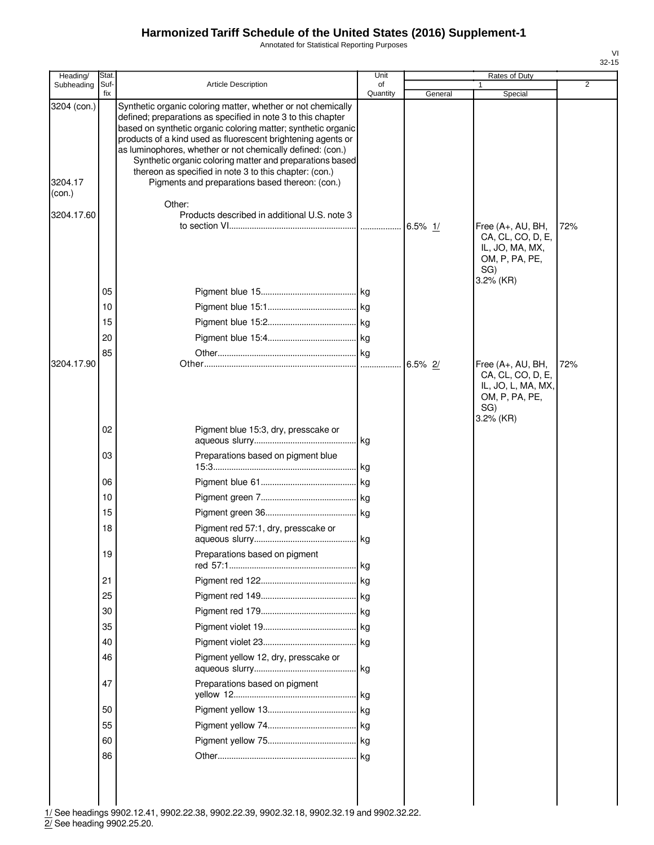Annotated for Statistical Reporting Purposes

| Heading/                                       | Stat.       |                                                                                                                                                                                                                                                                                                                                                                                                                                                                                                                                                                | Unit           |         | Rates of Duty                                                                                      |                |
|------------------------------------------------|-------------|----------------------------------------------------------------------------------------------------------------------------------------------------------------------------------------------------------------------------------------------------------------------------------------------------------------------------------------------------------------------------------------------------------------------------------------------------------------------------------------------------------------------------------------------------------------|----------------|---------|----------------------------------------------------------------------------------------------------|----------------|
| Subheading                                     | Suf-<br>fix | <b>Article Description</b>                                                                                                                                                                                                                                                                                                                                                                                                                                                                                                                                     | of<br>Quantity | General | Special                                                                                            | $\overline{2}$ |
| 3204 (con.)<br>3204.17<br>(con.)<br>3204.17.60 |             | Synthetic organic coloring matter, whether or not chemically<br>defined; preparations as specified in note 3 to this chapter<br>based on synthetic organic coloring matter; synthetic organic<br>products of a kind used as fluorescent brightening agents or<br>as luminophores, whether or not chemically defined: (con.)<br>Synthetic organic coloring matter and preparations based<br>thereon as specified in note 3 to this chapter: (con.)<br>Pigments and preparations based thereon: (con.)<br>Other:<br>Products described in additional U.S. note 3 |                |         |                                                                                                    |                |
|                                                | 05<br>10    |                                                                                                                                                                                                                                                                                                                                                                                                                                                                                                                                                                |                |         | Free (A+, AU, BH,<br>CA, CL, CO, D, E,<br>IL, JO, MA, MX,<br>OM, P, PA, PE,<br>SG)<br>3.2% (KR)    | 72%            |
|                                                | 15          |                                                                                                                                                                                                                                                                                                                                                                                                                                                                                                                                                                |                |         |                                                                                                    |                |
|                                                | 20          |                                                                                                                                                                                                                                                                                                                                                                                                                                                                                                                                                                |                |         |                                                                                                    |                |
|                                                | 85          |                                                                                                                                                                                                                                                                                                                                                                                                                                                                                                                                                                | $\log$         |         |                                                                                                    |                |
| 3204.17.90                                     |             |                                                                                                                                                                                                                                                                                                                                                                                                                                                                                                                                                                |                | 6.5% 2/ | Free (A+, AU, BH,<br>CA, CL, CO, D, E,<br>IL, JO, L, MA, MX,<br>OM, P, PA, PE,<br>SG)<br>3.2% (KR) | 72%            |
|                                                | 02          | Pigment blue 15:3, dry, presscake or                                                                                                                                                                                                                                                                                                                                                                                                                                                                                                                           |                |         |                                                                                                    |                |
|                                                | 03          | Preparations based on pigment blue                                                                                                                                                                                                                                                                                                                                                                                                                                                                                                                             |                |         |                                                                                                    |                |
|                                                | 06          |                                                                                                                                                                                                                                                                                                                                                                                                                                                                                                                                                                | .lkg           |         |                                                                                                    |                |
|                                                | 10          |                                                                                                                                                                                                                                                                                                                                                                                                                                                                                                                                                                |                |         |                                                                                                    |                |
|                                                | 15          |                                                                                                                                                                                                                                                                                                                                                                                                                                                                                                                                                                | kg             |         |                                                                                                    |                |
|                                                | 18          | Pigment red 57:1, dry, presscake or                                                                                                                                                                                                                                                                                                                                                                                                                                                                                                                            |                |         |                                                                                                    |                |
|                                                | 19          | Preparations based on pigment                                                                                                                                                                                                                                                                                                                                                                                                                                                                                                                                  | .  kg          |         |                                                                                                    |                |
|                                                | 21          |                                                                                                                                                                                                                                                                                                                                                                                                                                                                                                                                                                |                |         |                                                                                                    |                |
|                                                | 25          |                                                                                                                                                                                                                                                                                                                                                                                                                                                                                                                                                                | kg             |         |                                                                                                    |                |
|                                                | 30          |                                                                                                                                                                                                                                                                                                                                                                                                                                                                                                                                                                |                |         |                                                                                                    |                |
|                                                | 35          |                                                                                                                                                                                                                                                                                                                                                                                                                                                                                                                                                                |                |         |                                                                                                    |                |
|                                                | 40          |                                                                                                                                                                                                                                                                                                                                                                                                                                                                                                                                                                |                |         |                                                                                                    |                |
|                                                | 46          | Pigment yellow 12, dry, presscake or                                                                                                                                                                                                                                                                                                                                                                                                                                                                                                                           | kg             |         |                                                                                                    |                |
|                                                | 47          | Preparations based on pigment                                                                                                                                                                                                                                                                                                                                                                                                                                                                                                                                  | l kg           |         |                                                                                                    |                |
|                                                | 50          |                                                                                                                                                                                                                                                                                                                                                                                                                                                                                                                                                                |                |         |                                                                                                    |                |
|                                                | 55          |                                                                                                                                                                                                                                                                                                                                                                                                                                                                                                                                                                |                |         |                                                                                                    |                |
|                                                | 60          |                                                                                                                                                                                                                                                                                                                                                                                                                                                                                                                                                                |                |         |                                                                                                    |                |
|                                                | 86          |                                                                                                                                                                                                                                                                                                                                                                                                                                                                                                                                                                | kg             |         |                                                                                                    |                |
|                                                |             | 1/ See headings 9902 12:41 -9902 22:38 -9902 22:39 -9902 32:18 -9902 32:19 and 9902 32:22                                                                                                                                                                                                                                                                                                                                                                                                                                                                      |                |         |                                                                                                    |                |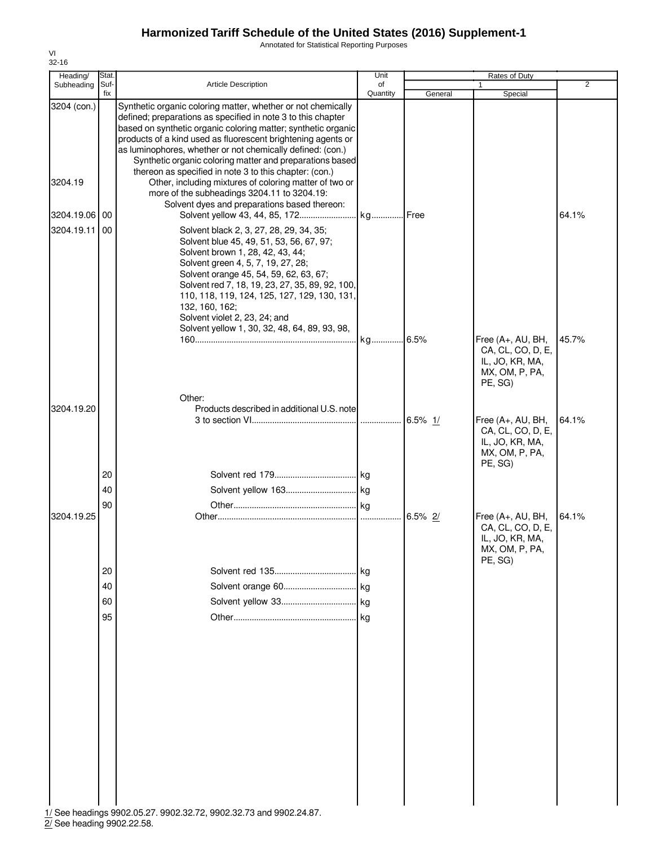Annotated for Statistical Reporting Purposes

| Heading/                 | Stat.          |                                                                                                                                                                                                                                                                                                                                                                                         | Unit           |         | Rates of Duty                                                                          |                |
|--------------------------|----------------|-----------------------------------------------------------------------------------------------------------------------------------------------------------------------------------------------------------------------------------------------------------------------------------------------------------------------------------------------------------------------------------------|----------------|---------|----------------------------------------------------------------------------------------|----------------|
| Subheading Suf-          | fix            | <b>Article Description</b>                                                                                                                                                                                                                                                                                                                                                              | of<br>Quantity | General | 1<br>Special                                                                           | $\overline{2}$ |
| 3204 (con.)              |                | Synthetic organic coloring matter, whether or not chemically<br>defined; preparations as specified in note 3 to this chapter<br>based on synthetic organic coloring matter; synthetic organic<br>products of a kind used as fluorescent brightening agents or<br>as luminophores, whether or not chemically defined: (con.)<br>Synthetic organic coloring matter and preparations based |                |         |                                                                                        |                |
| 3204.19                  |                | thereon as specified in note 3 to this chapter: (con.)<br>Other, including mixtures of coloring matter of two or<br>more of the subheadings 3204.11 to 3204.19:<br>Solvent dyes and preparations based thereon:                                                                                                                                                                         |                |         |                                                                                        |                |
| 3204.19.06<br>3204.19.11 | 00<br>00       | Solvent black 2, 3, 27, 28, 29, 34, 35;<br>Solvent blue 45, 49, 51, 53, 56, 67, 97;<br>Solvent brown 1, 28, 42, 43, 44;<br>Solvent green 4, 5, 7, 19, 27, 28;<br>Solvent orange 45, 54, 59, 62, 63, 67;<br>Solvent red 7, 18, 19, 23, 27, 35, 89, 92, 100,<br>110, 118, 119, 124, 125, 127, 129, 130, 131,<br>132, 160, 162;<br>Solvent violet 2, 23, 24; and                           |                |         |                                                                                        | 64.1%          |
|                          |                | Solvent yellow 1, 30, 32, 48, 64, 89, 93, 98,                                                                                                                                                                                                                                                                                                                                           |                |         | Free (A+, AU, BH,<br>CA, CL, CO, D, E,<br>IL, JO, KR, MA,<br>MX, OM, P, PA,<br>PE, SG) | 45.7%          |
| 3204.19.20               |                | Other:<br>Products described in additional U.S. note                                                                                                                                                                                                                                                                                                                                    |                |         | Free (A+, AU, BH,<br>CA, CL, CO, D, E,<br>IL, JO, KR, MA,<br>MX, OM, P, PA,            | 64.1%          |
|                          | 20<br>40<br>90 |                                                                                                                                                                                                                                                                                                                                                                                         |                |         | PE, SG)                                                                                |                |
| 3204.19.25               |                |                                                                                                                                                                                                                                                                                                                                                                                         |                |         | Free (A+, AU, BH,<br>CA, CL, CO, D, E,<br>IL, JO, KR, MA,<br>MX, OM, P, PA,<br>PE, SG) | 64.1%          |
|                          | 20<br>40       |                                                                                                                                                                                                                                                                                                                                                                                         |                |         |                                                                                        |                |
|                          | 60<br>95       |                                                                                                                                                                                                                                                                                                                                                                                         |                |         |                                                                                        |                |
|                          |                | 1/ See headings 9902.05.27, 9902.32.72, 9902.32.73 and 9902.24.87.                                                                                                                                                                                                                                                                                                                      |                |         |                                                                                        |                |

1/ See headings 9902.05.27. 9902.32.72, 9902.32.73 and 9902.24.87.

2/ See heading 9902.22.58.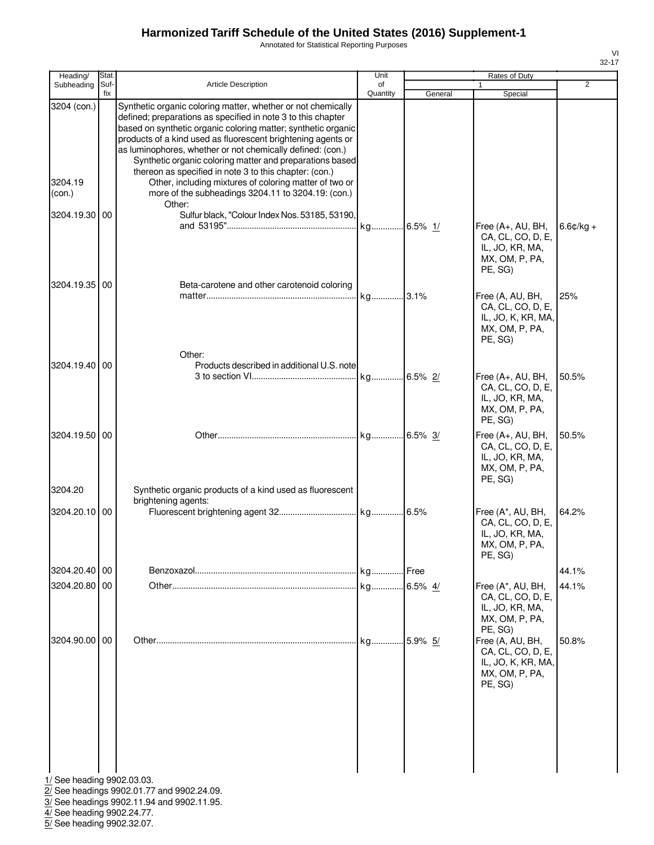Annotated for Statistical Reporting Purposes

|                   | Heading/                     | Stat.       |                                                                                                                                                                                                                                                                                                                                                                                                                                                                                                                                                                                                                               | Unit           |         | Rates of Duty                                                                            |             |
|-------------------|------------------------------|-------------|-------------------------------------------------------------------------------------------------------------------------------------------------------------------------------------------------------------------------------------------------------------------------------------------------------------------------------------------------------------------------------------------------------------------------------------------------------------------------------------------------------------------------------------------------------------------------------------------------------------------------------|----------------|---------|------------------------------------------------------------------------------------------|-------------|
|                   | Subheading                   | Suf-<br>fix | <b>Article Description</b>                                                                                                                                                                                                                                                                                                                                                                                                                                                                                                                                                                                                    | οf<br>Quantity | General | 1<br>Special                                                                             | 2           |
| 3204.19<br>(con.) | 3204 (con.)<br>3204.19.30 00 |             | Synthetic organic coloring matter, whether or not chemically<br>defined; preparations as specified in note 3 to this chapter<br>based on synthetic organic coloring matter; synthetic organic<br>products of a kind used as fluorescent brightening agents or<br>as luminophores, whether or not chemically defined: (con.)<br>Synthetic organic coloring matter and preparations based<br>thereon as specified in note 3 to this chapter: (con.)<br>Other, including mixtures of coloring matter of two or<br>more of the subheadings 3204.11 to 3204.19: (con.)<br>Other:<br>Sulfur black, "Colour Index Nos. 53185, 53190, |                |         | Free (A+, AU, BH,<br>CA, CL, CO, D, E,                                                   | $6.6¢/kg +$ |
|                   | 3204.19.35 00                |             | Beta-carotene and other carotenoid coloring                                                                                                                                                                                                                                                                                                                                                                                                                                                                                                                                                                                   |                |         | IL, JO, KR, MA,<br>MX, OM, P, PA,<br>PE, SG)                                             |             |
|                   |                              |             | Other:                                                                                                                                                                                                                                                                                                                                                                                                                                                                                                                                                                                                                        |                |         | Free (A, AU, BH,<br>CA, CL, CO, D, E,<br>IL, JO, K, KR, MA,<br>MX, OM, P, PA,<br>PE, SG) | 25%         |
|                   | 3204.19.40 00                |             | Products described in additional U.S. note                                                                                                                                                                                                                                                                                                                                                                                                                                                                                                                                                                                    |                |         | Free (A+, AU, BH,<br>CA, CL, CO, D, E,<br>IL, JO, KR, MA,<br>MX, OM, P, PA,<br>PE, SG)   | 50.5%       |
|                   | 3204.19.50 00                |             |                                                                                                                                                                                                                                                                                                                                                                                                                                                                                                                                                                                                                               |                |         | Free (A+, AU, BH,<br>CA, CL, CO, D, E,<br>IL, JO, KR, MA,<br>MX, OM, P, PA,<br>PE, SG)   | 50.5%       |
| 3204.20           |                              |             | Synthetic organic products of a kind used as fluorescent<br>brightening agents:                                                                                                                                                                                                                                                                                                                                                                                                                                                                                                                                               |                |         |                                                                                          |             |
|                   | 3204.20.10 00                |             |                                                                                                                                                                                                                                                                                                                                                                                                                                                                                                                                                                                                                               |                |         | Free (A*, AU, BH,<br>CA, CL, CO, D, E,<br>IL, JO, KR, MA,<br>MX, OM, P, PA,<br>PE, SG)   | 64.2%       |
|                   | 3204.20.40   00              |             |                                                                                                                                                                                                                                                                                                                                                                                                                                                                                                                                                                                                                               |                | Free    |                                                                                          | 44.1%       |
|                   | 3204.20.80 00                |             |                                                                                                                                                                                                                                                                                                                                                                                                                                                                                                                                                                                                                               |                | 6.5% 4/ | Free (A*, AU, BH,<br>CA, CL, CO, D, E,<br>IL, JO, KR, MA,<br>MX, OM, P, PA,<br>PE, SG)   | 44.1%       |
|                   | 3204.90.00 00                |             |                                                                                                                                                                                                                                                                                                                                                                                                                                                                                                                                                                                                                               |                |         | Free (A, AU, BH,<br>CA, CL, CO, D, E,<br>IL, JO, K, KR, MA,<br>MX, OM, P, PA,<br>PE, SG) | 50.8%       |
|                   |                              |             | 1/ See heading 9902.03.03.                                                                                                                                                                                                                                                                                                                                                                                                                                                                                                                                                                                                    |                |         |                                                                                          |             |

2/ See headings 9902.01.77 and 9902.24.09.

3/ See headings 9902.11.94 and 9902.11.95.

4/ See heading 9902.24.77.

5/ See heading 9902.32.07.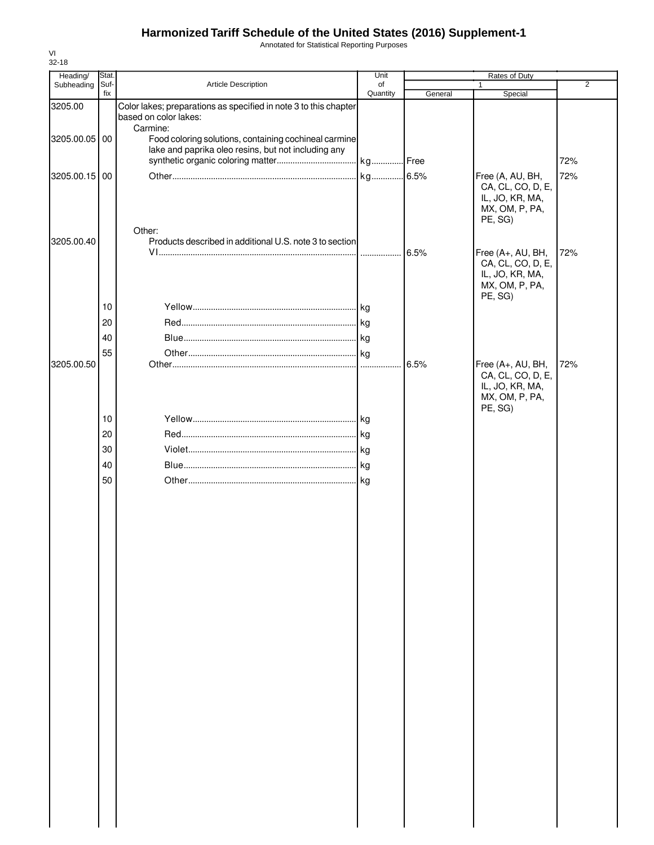Annotated for Statistical Reporting Purposes

| Heading/      | Stat.       |                                                                   | Unit               |         | Rates of Duty                        |                |
|---------------|-------------|-------------------------------------------------------------------|--------------------|---------|--------------------------------------|----------------|
| Subheading    | Suf-<br>fix | Article Description                                               | of<br>Quantity     | General | 1<br>Special                         | $\overline{2}$ |
| 3205.00       |             | Color lakes; preparations as specified in note 3 to this chapter  |                    |         |                                      |                |
|               |             | based on color lakes:                                             |                    |         |                                      |                |
| 3205.00.05 00 |             | Carmine:<br>Food coloring solutions, containing cochineal carmine |                    |         |                                      |                |
|               |             | lake and paprika oleo resins, but not including any               |                    |         |                                      |                |
|               |             |                                                                   |                    |         |                                      | 72%            |
| 3205.00.15 00 |             |                                                                   |                    |         | Free (A, AU, BH,                     | 72%            |
|               |             |                                                                   |                    |         | CA, CL, CO, D, E,<br>IL, JO, KR, MA, |                |
|               |             |                                                                   |                    |         | MX, OM, P, PA,                       |                |
|               |             |                                                                   |                    |         | PE, SG)                              |                |
| 3205.00.40    |             | Other:<br>Products described in additional U.S. note 3 to section |                    |         |                                      |                |
|               |             |                                                                   |                    | 6.5%    | Free (A+, AU, BH,                    | 72%            |
|               |             |                                                                   |                    |         | CA, CL, CO, D, E,                    |                |
|               |             |                                                                   |                    |         | IL, JO, KR, MA,<br>MX, OM, P, PA,    |                |
|               |             |                                                                   |                    |         | PE, SG)                              |                |
|               | 10          |                                                                   | .lkg               |         |                                      |                |
|               | 20          |                                                                   |                    |         |                                      |                |
|               | 40          |                                                                   |                    |         |                                      |                |
|               | 55          |                                                                   |                    |         |                                      |                |
| 3205.00.50    |             |                                                                   |                    | 6.5%    | Free (A+, AU, BH,                    | 72%            |
|               |             |                                                                   |                    |         | CA, CL, CO, D, E,<br>IL, JO, KR, MA, |                |
|               |             |                                                                   |                    |         | MX, OM, P, PA,                       |                |
|               | 10          |                                                                   |                    |         | PE, SG)                              |                |
|               | 20          |                                                                   |                    |         |                                      |                |
|               |             |                                                                   | kg<br>$\lfloor$ kg |         |                                      |                |
|               | 30<br>40    |                                                                   |                    |         |                                      |                |
|               |             |                                                                   |                    |         |                                      |                |
|               | 50          |                                                                   |                    |         |                                      |                |
|               |             |                                                                   |                    |         |                                      |                |
|               |             |                                                                   |                    |         |                                      |                |
|               |             |                                                                   |                    |         |                                      |                |
|               |             |                                                                   |                    |         |                                      |                |
|               |             |                                                                   |                    |         |                                      |                |
|               |             |                                                                   |                    |         |                                      |                |
|               |             |                                                                   |                    |         |                                      |                |
|               |             |                                                                   |                    |         |                                      |                |
|               |             |                                                                   |                    |         |                                      |                |
|               |             |                                                                   |                    |         |                                      |                |
|               |             |                                                                   |                    |         |                                      |                |
|               |             |                                                                   |                    |         |                                      |                |
|               |             |                                                                   |                    |         |                                      |                |
|               |             |                                                                   |                    |         |                                      |                |
|               |             |                                                                   |                    |         |                                      |                |
|               |             |                                                                   |                    |         |                                      |                |
|               |             |                                                                   |                    |         |                                      |                |
|               |             |                                                                   |                    |         |                                      |                |
|               |             |                                                                   |                    |         |                                      |                |
|               |             |                                                                   |                    |         |                                      |                |
|               |             |                                                                   |                    |         |                                      |                |
|               |             |                                                                   |                    |         |                                      |                |
|               |             |                                                                   |                    |         |                                      |                |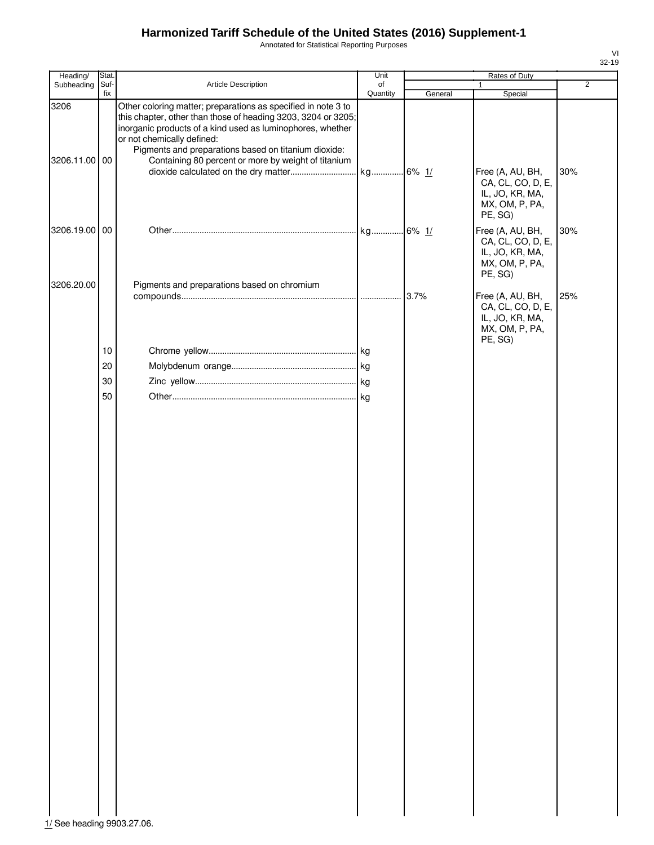Annotated for Statistical Reporting Purposes

| Heading/      | Stat. |                                                                                                             | Unit     |         | Rates of Duty             |                |
|---------------|-------|-------------------------------------------------------------------------------------------------------------|----------|---------|---------------------------|----------------|
| Subheading    | Suf-  | Article Description                                                                                         | of       |         | 1                         | $\overline{2}$ |
| 3206          | fix   | Other coloring matter; preparations as specified in note 3 to                                               | Quantity | General | Special                   |                |
|               |       | this chapter, other than those of heading 3203, 3204 or 3205;                                               |          |         |                           |                |
|               |       | inorganic products of a kind used as luminophores, whether                                                  |          |         |                           |                |
|               |       | or not chemically defined:                                                                                  |          |         |                           |                |
| 3206.11.00 00 |       | Pigments and preparations based on titanium dioxide:<br>Containing 80 percent or more by weight of titanium |          |         |                           |                |
|               |       |                                                                                                             |          |         | Free (A, AU, BH,          | 30%            |
|               |       |                                                                                                             |          |         | CA, CL, CO, D, E,         |                |
|               |       |                                                                                                             |          |         | IL, JO, KR, MA,           |                |
|               |       |                                                                                                             |          |         | MX, OM, P, PA,            |                |
|               |       |                                                                                                             |          |         | PE, SG)                   |                |
| 3206.19.00 00 |       |                                                                                                             |          |         | Free (A, AU, BH,          | 30%            |
|               |       |                                                                                                             |          |         | CA, CL, CO, D, E,         |                |
|               |       |                                                                                                             |          |         | IL, JO, KR, MA,           |                |
|               |       |                                                                                                             |          |         | MX, OM, P, PA,<br>PE, SG) |                |
| 3206.20.00    |       | Pigments and preparations based on chromium                                                                 |          |         |                           |                |
|               |       |                                                                                                             |          |         | Free (A, AU, BH,          | 25%            |
|               |       |                                                                                                             |          |         | CA, CL, CO, D, E,         |                |
|               |       |                                                                                                             |          |         | IL, JO, KR, MA,           |                |
|               |       |                                                                                                             |          |         | MX, OM, P, PA,            |                |
|               | 10    |                                                                                                             |          |         | PE, SG)                   |                |
|               |       |                                                                                                             |          |         |                           |                |
|               | 20    |                                                                                                             |          |         |                           |                |
|               | 30    |                                                                                                             |          |         |                           |                |
|               | 50    |                                                                                                             |          |         |                           |                |
|               |       |                                                                                                             |          |         |                           |                |
|               |       |                                                                                                             |          |         |                           |                |
|               |       |                                                                                                             |          |         |                           |                |
|               |       |                                                                                                             |          |         |                           |                |
|               |       |                                                                                                             |          |         |                           |                |
|               |       |                                                                                                             |          |         |                           |                |
|               |       |                                                                                                             |          |         |                           |                |
|               |       |                                                                                                             |          |         |                           |                |
|               |       |                                                                                                             |          |         |                           |                |
|               |       |                                                                                                             |          |         |                           |                |
|               |       |                                                                                                             |          |         |                           |                |
|               |       |                                                                                                             |          |         |                           |                |
|               |       |                                                                                                             |          |         |                           |                |
|               |       |                                                                                                             |          |         |                           |                |
|               |       |                                                                                                             |          |         |                           |                |
|               |       |                                                                                                             |          |         |                           |                |
|               |       |                                                                                                             |          |         |                           |                |
|               |       |                                                                                                             |          |         |                           |                |
|               |       |                                                                                                             |          |         |                           |                |
|               |       |                                                                                                             |          |         |                           |                |
|               |       |                                                                                                             |          |         |                           |                |
|               |       |                                                                                                             |          |         |                           |                |
|               |       |                                                                                                             |          |         |                           |                |
|               |       |                                                                                                             |          |         |                           |                |
|               |       |                                                                                                             |          |         |                           |                |
|               |       |                                                                                                             |          |         |                           |                |
|               |       |                                                                                                             |          |         |                           |                |
|               |       |                                                                                                             |          |         |                           |                |
|               |       |                                                                                                             |          |         |                           |                |
|               |       |                                                                                                             |          |         |                           |                |
|               |       |                                                                                                             |          |         |                           |                |
|               |       |                                                                                                             |          |         |                           |                |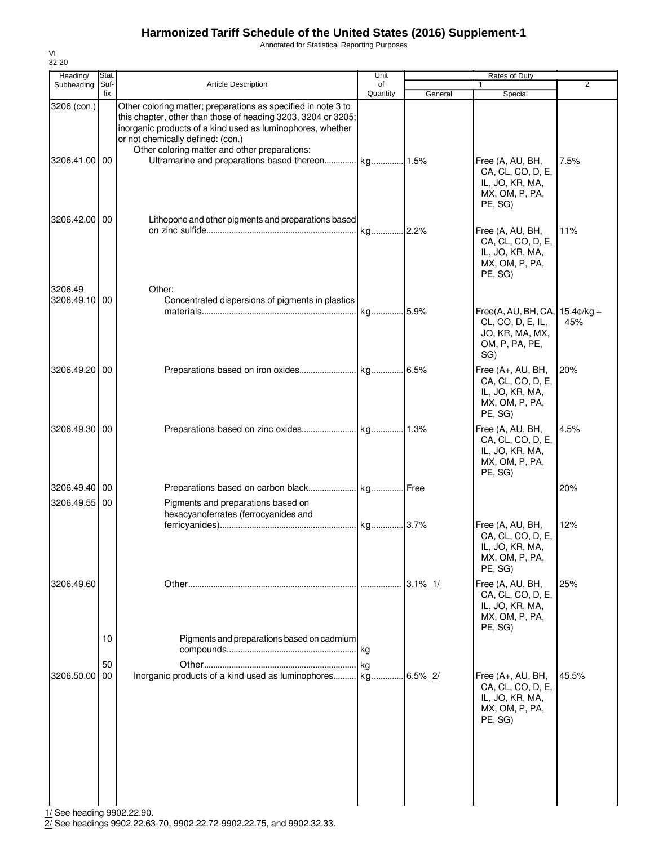Annotated for Statistical Reporting Purposes

| Heading/                     | Stat.       |                                                                                                                                                                                                                                                                                    | Unit           |            | Rates of Duty                                                                                   |       |
|------------------------------|-------------|------------------------------------------------------------------------------------------------------------------------------------------------------------------------------------------------------------------------------------------------------------------------------------|----------------|------------|-------------------------------------------------------------------------------------------------|-------|
| Subheading                   | Suf-<br>fix | <b>Article Description</b>                                                                                                                                                                                                                                                         | of<br>Quantity | General    | Special                                                                                         | 2     |
| 3206 (con.)<br>3206.41.00 00 |             | Other coloring matter; preparations as specified in note 3 to<br>this chapter, other than those of heading 3203, 3204 or 3205;<br>inorganic products of a kind used as luminophores, whether<br>or not chemically defined: (con.)<br>Other coloring matter and other preparations: |                |            | Free (A, AU, BH,<br>CA, CL, CO, D, E,<br>IL, JO, KR, MA,<br>MX, OM, P, PA,<br>PE, SG)           | 7.5%  |
| 3206.42.00 00                |             | Lithopone and other pigments and preparations based                                                                                                                                                                                                                                | kg 2.2%        |            | Free (A, AU, BH,<br>CA, CL, CO, D, E,<br>IL, JO, KR, MA,<br>MX, OM, P, PA,<br>PE, SG)           | 11%   |
| 3206.49<br>3206.49.10 00     |             | Other:<br>Concentrated dispersions of pigments in plastics                                                                                                                                                                                                                         | kg             | .5.9%      | Free(A, AU, BH, CA, 15.4¢/kg +<br>CL, CO, D, E, IL,<br>JO, KR, MA, MX,<br>OM, P, PA, PE,<br>SG) | 45%   |
| 3206.49.20                   | 00          |                                                                                                                                                                                                                                                                                    |                |            | Free (A+, AU, BH,<br>CA, CL, CO, D, E,<br>IL, JO, KR, MA,<br>MX, OM, P, PA,<br>PE, SG)          | 20%   |
| 3206.49.30 00                |             |                                                                                                                                                                                                                                                                                    |                |            | Free (A, AU, BH,<br>CA, CL, CO, D, E,<br>IL, JO, KR, MA,<br>MX, OM, P, PA,<br>PE, SG)           | 4.5%  |
| 3206.49.40 00                |             |                                                                                                                                                                                                                                                                                    |                |            |                                                                                                 | 20%   |
| 3206.49.55 00                |             | Pigments and preparations based on<br>hexacyanoferrates (ferrocyanides and                                                                                                                                                                                                         |                |            | Free (A, AU, BH,                                                                                | 12%   |
|                              |             |                                                                                                                                                                                                                                                                                    |                |            | CA, CL, CO, D, E,<br>IL, JO, KR, MA,<br>MX, OM, P, PA,<br>PE, SG)                               |       |
| 3206.49.60                   |             |                                                                                                                                                                                                                                                                                    |                | $3.1\%$ 1/ | Free (A, AU, BH,<br>CA, CL, CO, D, E,<br>IL, JO, KR, MA,<br>MX, OM, P, PA,<br>PE, SG)           | 25%   |
|                              | 10<br>50    | Pigments and preparations based on cadmium                                                                                                                                                                                                                                         |                |            |                                                                                                 |       |
| 3206.50.00                   | 00          | Inorganic products of a kind used as luminophores kg                                                                                                                                                                                                                               |                | $6.5\%$ 2/ | Free (A+, AU, BH,<br>CA, CL, CO, D, E,<br>IL, JO, KR, MA,<br>MX, OM, P, PA,<br>PE, SG)          | 45.5% |
|                              |             |                                                                                                                                                                                                                                                                                    |                |            |                                                                                                 |       |

1/ See heading 9902.22.90.

2/ See headings 9902.22.63-70, 9902.22.72-9902.22.75, and 9902.32.33.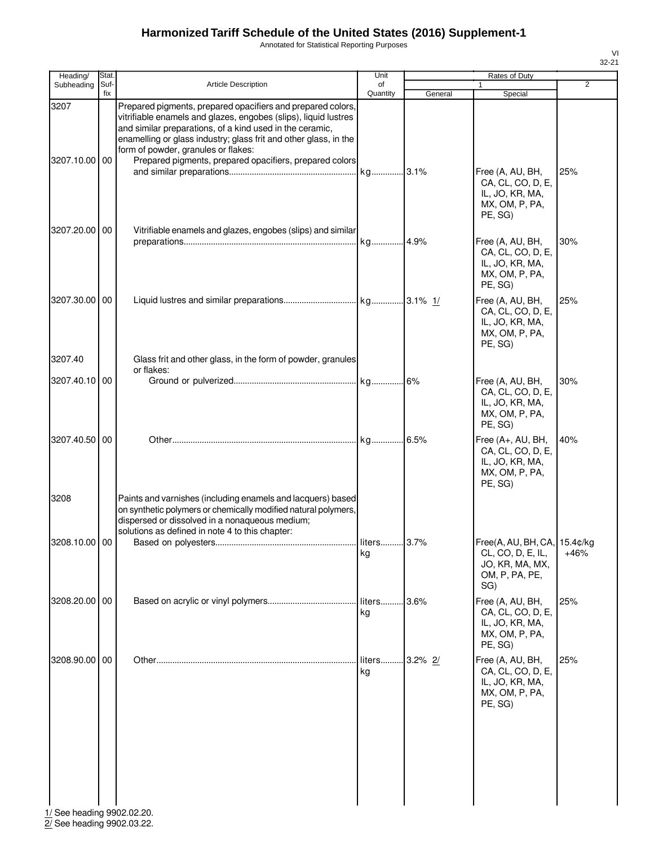Annotated for Statistical Reporting Purposes

| ×<br>٧ |  |
|--------|--|

| Heading/                   | Stat.       |                                                                                                                                                                                                                                                                                                                                                                  | Unit           |             | Rates of Duty                                                                                 |                |
|----------------------------|-------------|------------------------------------------------------------------------------------------------------------------------------------------------------------------------------------------------------------------------------------------------------------------------------------------------------------------------------------------------------------------|----------------|-------------|-----------------------------------------------------------------------------------------------|----------------|
| Subheading                 | Suf-<br>fix | Article Description                                                                                                                                                                                                                                                                                                                                              | of<br>Quantity | General     | Special                                                                                       | $\overline{2}$ |
| 3207<br>3207.10.00 00      |             | Prepared pigments, prepared opacifiers and prepared colors,<br>vitrifiable enamels and glazes, engobes (slips), liquid lustres<br>and similar preparations, of a kind used in the ceramic,<br>enamelling or glass industry; glass frit and other glass, in the<br>form of powder, granules or flakes:<br>Prepared pigments, prepared opacifiers, prepared colors |                |             |                                                                                               |                |
|                            |             |                                                                                                                                                                                                                                                                                                                                                                  |                |             | Free (A, AU, BH,<br>CA, CL, CO, D, E,<br>IL, JO, KR, MA,<br>MX, OM, P, PA,<br>PE, SG)         | 25%            |
| 3207.20.00 00              |             | Vitrifiable enamels and glazes, engobes (slips) and similar                                                                                                                                                                                                                                                                                                      |                |             | Free (A, AU, BH,<br>CA, CL, CO, D, E,<br>IL, JO, KR, MA,<br>MX, OM, P, PA,<br>PE, SG)         | 30%            |
| 3207.30.00 00              |             |                                                                                                                                                                                                                                                                                                                                                                  |                |             | Free (A, AU, BH,<br>CA, CL, CO, D, E,<br>IL, JO, KR, MA,<br>MX, OM, P, PA,<br>PE, SG)         | 25%            |
| 3207.40                    |             | Glass frit and other glass, in the form of powder, granules<br>or flakes:                                                                                                                                                                                                                                                                                        |                |             |                                                                                               |                |
| 3207.40.10 00              |             |                                                                                                                                                                                                                                                                                                                                                                  |                |             | Free (A, AU, BH,<br>CA, CL, CO, D, E,<br>IL, JO, KR, MA,<br>MX, OM, P, PA,<br>PE, SG)         | 30%            |
| 3207.40.50 00              |             |                                                                                                                                                                                                                                                                                                                                                                  |                |             | Free (A+, AU, BH,<br>CA, CL, CO, D, E,<br>IL, JO, KR, MA,<br>MX, OM, P, PA,<br>PE, SG)        | 40%            |
| 3208                       |             | Paints and varnishes (including enamels and lacquers) based<br>on synthetic polymers or chemically modified natural polymers,<br>dispersed or dissolved in a nonaqueous medium;<br>solutions as defined in note 4 to this chapter:                                                                                                                               |                |             |                                                                                               |                |
| 3208.10.00 00              |             |                                                                                                                                                                                                                                                                                                                                                                  | kg             |             | Free(A, AU, BH, CA, 15.4¢/kg<br>CL, CO, D, E, IL,<br>JO, KR, MA, MX,<br>OM, P, PA, PE,<br>SG) | $+46%$         |
| 3208.20.00 00              |             |                                                                                                                                                                                                                                                                                                                                                                  | liters<br>kg   | 3.6%        | Free (A, AU, BH,<br>CA, CL, CO, D, E,<br>IL, JO, KR, MA,<br>MX, OM, P, PA,<br>PE, SG)         | 25%            |
| 3208.90.00 00              |             |                                                                                                                                                                                                                                                                                                                                                                  | liters<br>kg   | $.3.2\%$ 2/ | Free (A, AU, BH,<br>CA, CL, CO, D, E,<br>IL, JO, KR, MA,<br>MX, OM, P, PA,<br>PE, SG)         | 25%            |
| 1/ See heading 9902.02.20. |             |                                                                                                                                                                                                                                                                                                                                                                  |                |             |                                                                                               |                |

2/ See heading 9902.03.22.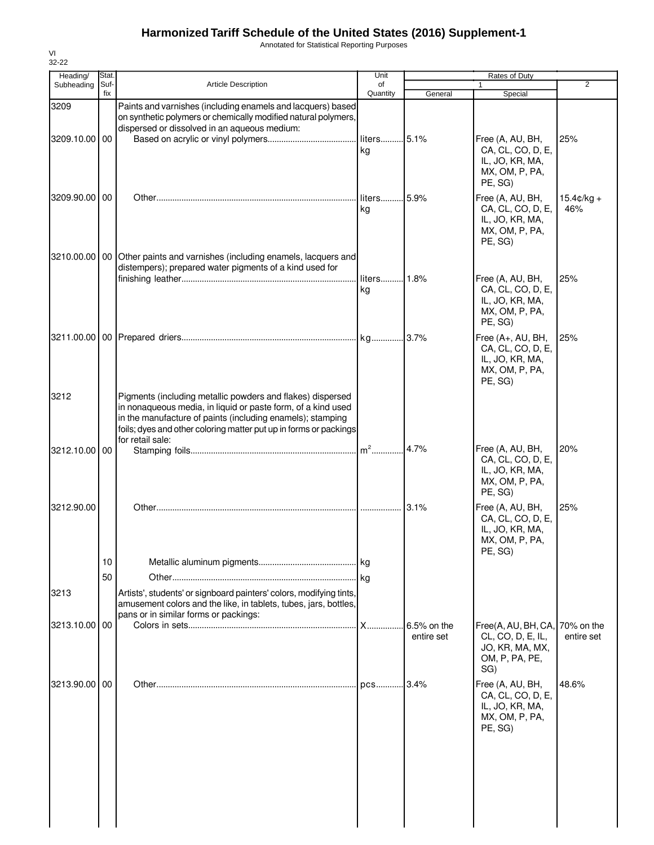Annotated for Statistical Reporting Purposes

| Heading/      | Stat.       |                                                                                                                                                                                                                                                                                   | Unit              |                           | Rates of Duty                                                                                   |                             |
|---------------|-------------|-----------------------------------------------------------------------------------------------------------------------------------------------------------------------------------------------------------------------------------------------------------------------------------|-------------------|---------------------------|-------------------------------------------------------------------------------------------------|-----------------------------|
| Subheading    | Suf-<br>fix | <b>Article Description</b>                                                                                                                                                                                                                                                        | of<br>Quantity    | General                   | $\mathbf{1}$<br>Special                                                                         | $\overline{2}$              |
| 3209          |             | Paints and varnishes (including enamels and lacquers) based<br>on synthetic polymers or chemically modified natural polymers,<br>dispersed or dissolved in an aqueous medium:                                                                                                     |                   |                           |                                                                                                 |                             |
| 3209.10.00 00 |             |                                                                                                                                                                                                                                                                                   | liters 5.1%<br>kg |                           | Free (A, AU, BH,<br>CA, CL, CO, D, E,<br>IL, JO, KR, MA,<br>MX, OM, P, PA,<br>PE, SG)           | 25%                         |
| 3209.90.00 00 |             |                                                                                                                                                                                                                                                                                   | liters<br>kg      | .5.9%                     | Free (A, AU, BH,<br>CA, CL, CO, D, E,<br>IL, JO, KR, MA,<br>MX, OM, P, PA,<br>PE, SG)           | $15.4 \text{c/kg} +$<br>46% |
|               |             | 3210.00.00 00 Other paints and varnishes (including enamels, lacquers and<br>distempers); prepared water pigments of a kind used for                                                                                                                                              | liters 1.8%<br>kg |                           | Free (A, AU, BH,<br>CA, CL, CO, D, E,<br>IL, JO, KR, MA,<br>MX, OM, P, PA,<br>PE, SG)           | 25%                         |
|               |             |                                                                                                                                                                                                                                                                                   |                   |                           | Free (A+, AU, BH,<br>CA, CL, CO, D, E,<br>IL, JO, KR, MA,<br>MX, OM, P, PA,<br>PE, SG)          | 25%                         |
| 3212          |             | Pigments (including metallic powders and flakes) dispersed<br>in nonaqueous media, in liquid or paste form, of a kind used<br>in the manufacture of paints (including enamels); stamping<br>foils; dyes and other coloring matter put up in forms or packings<br>for retail sale: |                   |                           |                                                                                                 |                             |
| 3212.10.00 00 |             |                                                                                                                                                                                                                                                                                   | $m2$              | 4.7%                      | Free (A, AU, BH,<br>CA, CL, CO, D, E,<br>IL, JO, KR, MA,<br>MX, OM, P, PA,<br>PE, SG)           | 20%                         |
| 3212.90.00    |             |                                                                                                                                                                                                                                                                                   |                   | 3.1%                      | Free (A, AU, BH,<br>CA, CL, CO, D, E,<br>IL, JO, KR, MA,<br>MX, OM, P, PA,<br>PE, SG)           | 25%                         |
|               | 10<br>50    |                                                                                                                                                                                                                                                                                   |                   |                           |                                                                                                 |                             |
| 3213          |             | Artists', students' or signboard painters' colors, modifying tints,<br>amusement colors and the like, in tablets, tubes, jars, bottles,<br>pans or in similar forms or packings:                                                                                                  |                   |                           |                                                                                                 |                             |
| 3213.10.00    | 00          |                                                                                                                                                                                                                                                                                   | X                 | 6.5% on the<br>entire set | Free(A, AU, BH, CA, 70% on the<br>CL, CO, D, E, IL,<br>JO, KR, MA, MX,<br>OM, P, PA, PE,<br>SG) | entire set                  |
| 3213.90.00 00 |             |                                                                                                                                                                                                                                                                                   |                   | .3.4%                     | Free (A, AU, BH,<br>CA, CL, CO, D, E,<br>IL, JO, KR, MA,<br>MX, OM, P, PA,<br>PE, SG)           | 48.6%                       |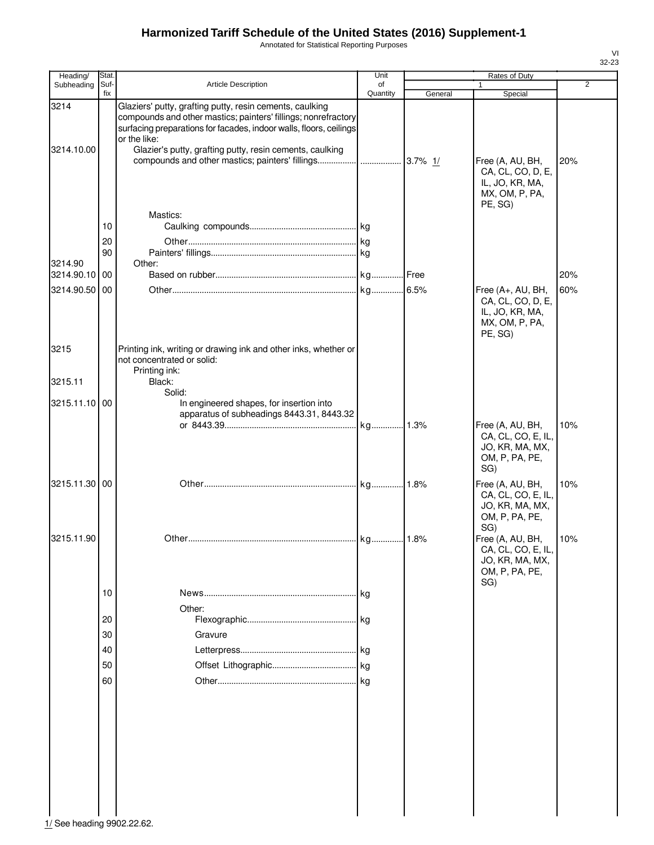Annotated for Statistical Reporting Purposes

| Heading/           | Stat.       |                                                                                                                                                                                                                                                                                          | Unit           |         | Rates of Duty                                                                          |                |
|--------------------|-------------|------------------------------------------------------------------------------------------------------------------------------------------------------------------------------------------------------------------------------------------------------------------------------------------|----------------|---------|----------------------------------------------------------------------------------------|----------------|
| Subheading         | Suf-<br>fix | Article Description                                                                                                                                                                                                                                                                      | of<br>Quantity | General | 1<br>Special                                                                           | $\overline{2}$ |
| 3214<br>3214.10.00 |             | Glaziers' putty, grafting putty, resin cements, caulking<br>compounds and other mastics; painters' fillings; nonrefractory<br>surfacing preparations for facades, indoor walls, floors, ceilings<br>or the like:<br>Glazier's putty, grafting putty, resin cements, caulking<br>Mastics: |                |         | Free (A, AU, BH,<br>CA, CL, CO, D, E,<br>IL, JO, KR, MA,<br>MX, OM, P, PA,<br>PE, SG)  | 20%            |
|                    | 10          |                                                                                                                                                                                                                                                                                          |                |         |                                                                                        |                |
|                    | 20          |                                                                                                                                                                                                                                                                                          |                |         |                                                                                        |                |
|                    | 90          |                                                                                                                                                                                                                                                                                          |                |         |                                                                                        |                |
| 3214.90            |             | Other:                                                                                                                                                                                                                                                                                   |                |         |                                                                                        |                |
| 3214.90.10 00      |             |                                                                                                                                                                                                                                                                                          |                |         |                                                                                        | 20%            |
| 3214.90.50         | 00          |                                                                                                                                                                                                                                                                                          |                |         | Free (A+, AU, BH,<br>CA, CL, CO, D, E,<br>IL, JO, KR, MA,<br>MX, OM, P, PA,<br>PE, SG) | 60%            |
| 3215               |             | Printing ink, writing or drawing ink and other inks, whether or<br>not concentrated or solid:<br>Printing ink:                                                                                                                                                                           |                |         |                                                                                        |                |
| 3215.11            |             | Black:                                                                                                                                                                                                                                                                                   |                |         |                                                                                        |                |
| 3215.11.10 00      |             | Solid:<br>In engineered shapes, for insertion into<br>apparatus of subheadings 8443.31, 8443.32                                                                                                                                                                                          |                |         | Free (A, AU, BH,                                                                       | 10%            |
|                    |             |                                                                                                                                                                                                                                                                                          |                |         | CA, CL, CO, E, IL,<br>JO, KR, MA, MX,<br>OM, P, PA, PE,<br>SG)                         |                |
| 3215.11.30 00      |             |                                                                                                                                                                                                                                                                                          |                |         | Free (A, AU, BH,<br>CA, CL, CO, E, IL,<br>JO, KR, MA, MX,<br>OM, P, PA, PE,<br>SG)     | 10%            |
| 3215.11.90         |             |                                                                                                                                                                                                                                                                                          |                |         | Free (A, AU, BH,<br>CA, CL, CO, E, IL,<br>JO, KR, MA, MX,<br>OM, P, PA, PE,<br>SG)     | 10%            |
|                    | 10          |                                                                                                                                                                                                                                                                                          |                |         |                                                                                        |                |
|                    | 20          | Other:                                                                                                                                                                                                                                                                                   |                |         |                                                                                        |                |
|                    |             |                                                                                                                                                                                                                                                                                          |                |         |                                                                                        |                |
|                    | 30          | Gravure                                                                                                                                                                                                                                                                                  |                |         |                                                                                        |                |
|                    | 40          |                                                                                                                                                                                                                                                                                          |                |         |                                                                                        |                |
|                    | 50          |                                                                                                                                                                                                                                                                                          |                |         |                                                                                        |                |
|                    | 60          |                                                                                                                                                                                                                                                                                          |                |         |                                                                                        |                |
|                    |             |                                                                                                                                                                                                                                                                                          |                |         |                                                                                        |                |